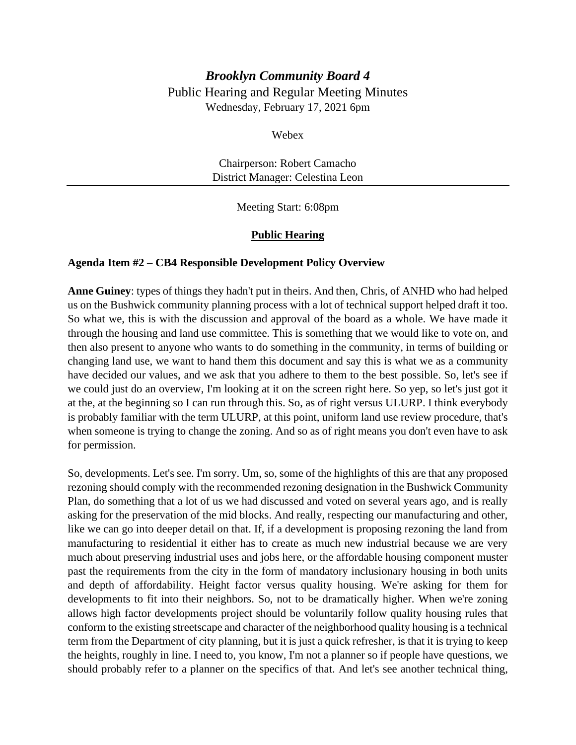# *Brooklyn Community Board 4* Public Hearing and Regular Meeting Minutes Wednesday, February 17, 2021 6pm

Webex

Chairperson: Robert Camacho District Manager: Celestina Leon

Meeting Start: 6:08pm

## **Public Hearing**

#### **Agenda Item #2 – CB4 Responsible Development Policy Overview**

**Anne Guiney**: types of things they hadn't put in theirs. And then, Chris, of ANHD who had helped us on the Bushwick community planning process with a lot of technical support helped draft it too. So what we, this is with the discussion and approval of the board as a whole. We have made it through the housing and land use committee. This is something that we would like to vote on, and then also present to anyone who wants to do something in the community, in terms of building or changing land use, we want to hand them this document and say this is what we as a community have decided our values, and we ask that you adhere to them to the best possible. So, let's see if we could just do an overview, I'm looking at it on the screen right here. So yep, so let's just got it at the, at the beginning so I can run through this. So, as of right versus ULURP. I think everybody is probably familiar with the term ULURP, at this point, uniform land use review procedure, that's when someone is trying to change the zoning. And so as of right means you don't even have to ask for permission.

So, developments. Let's see. I'm sorry. Um, so, some of the highlights of this are that any proposed rezoning should comply with the recommended rezoning designation in the Bushwick Community Plan, do something that a lot of us we had discussed and voted on several years ago, and is really asking for the preservation of the mid blocks. And really, respecting our manufacturing and other, like we can go into deeper detail on that. If, if a development is proposing rezoning the land from manufacturing to residential it either has to create as much new industrial because we are very much about preserving industrial uses and jobs here, or the affordable housing component muster past the requirements from the city in the form of mandatory inclusionary housing in both units and depth of affordability. Height factor versus quality housing. We're asking for them for developments to fit into their neighbors. So, not to be dramatically higher. When we're zoning allows high factor developments project should be voluntarily follow quality housing rules that conform to the existing streetscape and character of the neighborhood quality housing is a technical term from the Department of city planning, but it is just a quick refresher, is that it is trying to keep the heights, roughly in line. I need to, you know, I'm not a planner so if people have questions, we should probably refer to a planner on the specifics of that. And let's see another technical thing,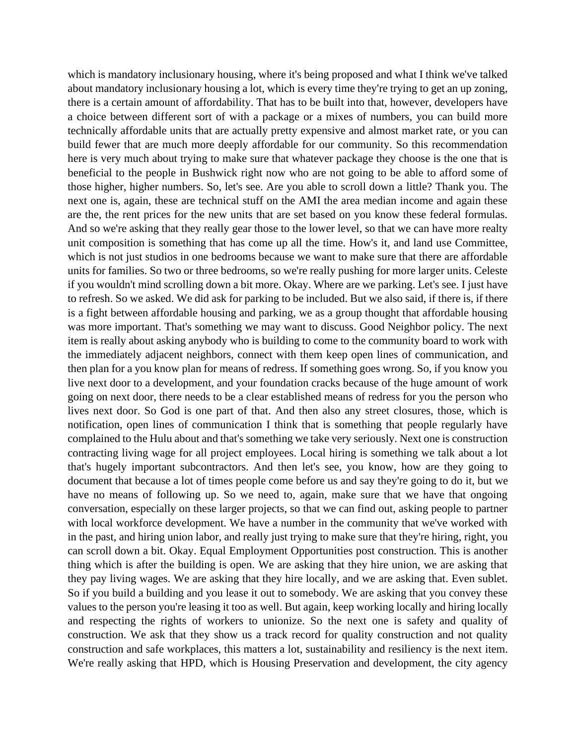which is mandatory inclusionary housing, where it's being proposed and what I think we've talked about mandatory inclusionary housing a lot, which is every time they're trying to get an up zoning, there is a certain amount of affordability. That has to be built into that, however, developers have a choice between different sort of with a package or a mixes of numbers, you can build more technically affordable units that are actually pretty expensive and almost market rate, or you can build fewer that are much more deeply affordable for our community. So this recommendation here is very much about trying to make sure that whatever package they choose is the one that is beneficial to the people in Bushwick right now who are not going to be able to afford some of those higher, higher numbers. So, let's see. Are you able to scroll down a little? Thank you. The next one is, again, these are technical stuff on the AMI the area median income and again these are the, the rent prices for the new units that are set based on you know these federal formulas. And so we're asking that they really gear those to the lower level, so that we can have more realty unit composition is something that has come up all the time. How's it, and land use Committee, which is not just studios in one bedrooms because we want to make sure that there are affordable units for families. So two or three bedrooms, so we're really pushing for more larger units. Celeste if you wouldn't mind scrolling down a bit more. Okay. Where are we parking. Let's see. I just have to refresh. So we asked. We did ask for parking to be included. But we also said, if there is, if there is a fight between affordable housing and parking, we as a group thought that affordable housing was more important. That's something we may want to discuss. Good Neighbor policy. The next item is really about asking anybody who is building to come to the community board to work with the immediately adjacent neighbors, connect with them keep open lines of communication, and then plan for a you know plan for means of redress. If something goes wrong. So, if you know you live next door to a development, and your foundation cracks because of the huge amount of work going on next door, there needs to be a clear established means of redress for you the person who lives next door. So God is one part of that. And then also any street closures, those, which is notification, open lines of communication I think that is something that people regularly have complained to the Hulu about and that's something we take very seriously. Next one is construction contracting living wage for all project employees. Local hiring is something we talk about a lot that's hugely important subcontractors. And then let's see, you know, how are they going to document that because a lot of times people come before us and say they're going to do it, but we have no means of following up. So we need to, again, make sure that we have that ongoing conversation, especially on these larger projects, so that we can find out, asking people to partner with local workforce development. We have a number in the community that we've worked with in the past, and hiring union labor, and really just trying to make sure that they're hiring, right, you can scroll down a bit. Okay. Equal Employment Opportunities post construction. This is another thing which is after the building is open. We are asking that they hire union, we are asking that they pay living wages. We are asking that they hire locally, and we are asking that. Even sublet. So if you build a building and you lease it out to somebody. We are asking that you convey these values to the person you're leasing it too as well. But again, keep working locally and hiring locally and respecting the rights of workers to unionize. So the next one is safety and quality of construction. We ask that they show us a track record for quality construction and not quality construction and safe workplaces, this matters a lot, sustainability and resiliency is the next item. We're really asking that HPD, which is Housing Preservation and development, the city agency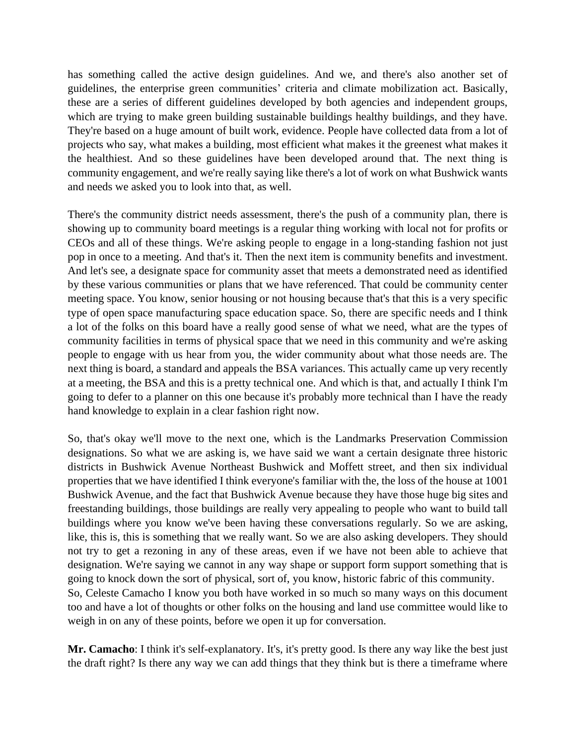has something called the active design guidelines. And we, and there's also another set of guidelines, the enterprise green communities' criteria and climate mobilization act. Basically, these are a series of different guidelines developed by both agencies and independent groups, which are trying to make green building sustainable buildings healthy buildings, and they have. They're based on a huge amount of built work, evidence. People have collected data from a lot of projects who say, what makes a building, most efficient what makes it the greenest what makes it the healthiest. And so these guidelines have been developed around that. The next thing is community engagement, and we're really saying like there's a lot of work on what Bushwick wants and needs we asked you to look into that, as well.

There's the community district needs assessment, there's the push of a community plan, there is showing up to community board meetings is a regular thing working with local not for profits or CEOs and all of these things. We're asking people to engage in a long-standing fashion not just pop in once to a meeting. And that's it. Then the next item is community benefits and investment. And let's see, a designate space for community asset that meets a demonstrated need as identified by these various communities or plans that we have referenced. That could be community center meeting space. You know, senior housing or not housing because that's that this is a very specific type of open space manufacturing space education space. So, there are specific needs and I think a lot of the folks on this board have a really good sense of what we need, what are the types of community facilities in terms of physical space that we need in this community and we're asking people to engage with us hear from you, the wider community about what those needs are. The next thing is board, a standard and appeals the BSA variances. This actually came up very recently at a meeting, the BSA and this is a pretty technical one. And which is that, and actually I think I'm going to defer to a planner on this one because it's probably more technical than I have the ready hand knowledge to explain in a clear fashion right now.

So, that's okay we'll move to the next one, which is the Landmarks Preservation Commission designations. So what we are asking is, we have said we want a certain designate three historic districts in Bushwick Avenue Northeast Bushwick and Moffett street, and then six individual properties that we have identified I think everyone's familiar with the, the loss of the house at 1001 Bushwick Avenue, and the fact that Bushwick Avenue because they have those huge big sites and freestanding buildings, those buildings are really very appealing to people who want to build tall buildings where you know we've been having these conversations regularly. So we are asking, like, this is, this is something that we really want. So we are also asking developers. They should not try to get a rezoning in any of these areas, even if we have not been able to achieve that designation. We're saying we cannot in any way shape or support form support something that is going to knock down the sort of physical, sort of, you know, historic fabric of this community. So, Celeste Camacho I know you both have worked in so much so many ways on this document too and have a lot of thoughts or other folks on the housing and land use committee would like to weigh in on any of these points, before we open it up for conversation.

**Mr. Camacho**: I think it's self-explanatory. It's, it's pretty good. Is there any way like the best just the draft right? Is there any way we can add things that they think but is there a timeframe where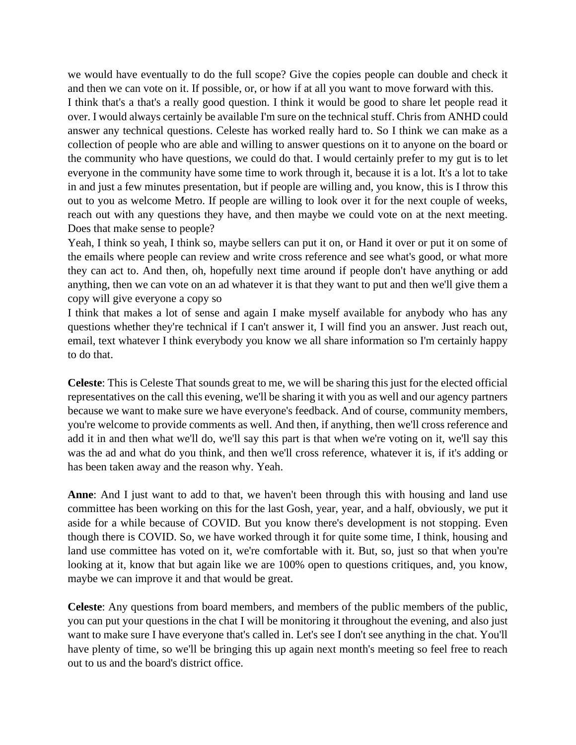we would have eventually to do the full scope? Give the copies people can double and check it and then we can vote on it. If possible, or, or how if at all you want to move forward with this. I think that's a that's a really good question. I think it would be good to share let people read it over. I would always certainly be available I'm sure on the technical stuff. Chris from ANHD could answer any technical questions. Celeste has worked really hard to. So I think we can make as a collection of people who are able and willing to answer questions on it to anyone on the board or the community who have questions, we could do that. I would certainly prefer to my gut is to let everyone in the community have some time to work through it, because it is a lot. It's a lot to take in and just a few minutes presentation, but if people are willing and, you know, this is I throw this out to you as welcome Metro. If people are willing to look over it for the next couple of weeks, reach out with any questions they have, and then maybe we could vote on at the next meeting. Does that make sense to people?

Yeah, I think so yeah, I think so, maybe sellers can put it on, or Hand it over or put it on some of the emails where people can review and write cross reference and see what's good, or what more they can act to. And then, oh, hopefully next time around if people don't have anything or add anything, then we can vote on an ad whatever it is that they want to put and then we'll give them a copy will give everyone a copy so

I think that makes a lot of sense and again I make myself available for anybody who has any questions whether they're technical if I can't answer it, I will find you an answer. Just reach out, email, text whatever I think everybody you know we all share information so I'm certainly happy to do that.

**Celeste**: This is Celeste That sounds great to me, we will be sharing this just for the elected official representatives on the call this evening, we'll be sharing it with you as well and our agency partners because we want to make sure we have everyone's feedback. And of course, community members, you're welcome to provide comments as well. And then, if anything, then we'll cross reference and add it in and then what we'll do, we'll say this part is that when we're voting on it, we'll say this was the ad and what do you think, and then we'll cross reference, whatever it is, if it's adding or has been taken away and the reason why. Yeah.

**Anne**: And I just want to add to that, we haven't been through this with housing and land use committee has been working on this for the last Gosh, year, year, and a half, obviously, we put it aside for a while because of COVID. But you know there's development is not stopping. Even though there is COVID. So, we have worked through it for quite some time, I think, housing and land use committee has voted on it, we're comfortable with it. But, so, just so that when you're looking at it, know that but again like we are 100% open to questions critiques, and, you know, maybe we can improve it and that would be great.

**Celeste**: Any questions from board members, and members of the public members of the public, you can put your questions in the chat I will be monitoring it throughout the evening, and also just want to make sure I have everyone that's called in. Let's see I don't see anything in the chat. You'll have plenty of time, so we'll be bringing this up again next month's meeting so feel free to reach out to us and the board's district office.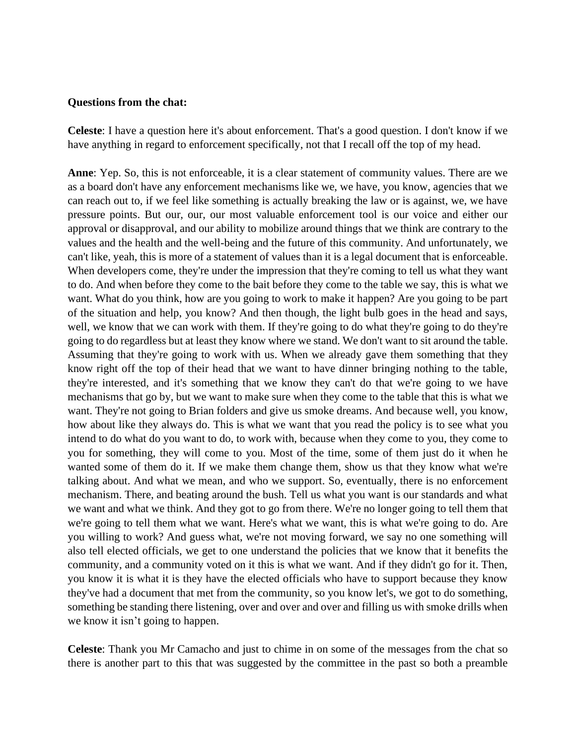#### **Questions from the chat:**

**Celeste**: I have a question here it's about enforcement. That's a good question. I don't know if we have anything in regard to enforcement specifically, not that I recall off the top of my head.

**Anne**: Yep. So, this is not enforceable, it is a clear statement of community values. There are we as a board don't have any enforcement mechanisms like we, we have, you know, agencies that we can reach out to, if we feel like something is actually breaking the law or is against, we, we have pressure points. But our, our, our most valuable enforcement tool is our voice and either our approval or disapproval, and our ability to mobilize around things that we think are contrary to the values and the health and the well-being and the future of this community. And unfortunately, we can't like, yeah, this is more of a statement of values than it is a legal document that is enforceable. When developers come, they're under the impression that they're coming to tell us what they want to do. And when before they come to the bait before they come to the table we say, this is what we want. What do you think, how are you going to work to make it happen? Are you going to be part of the situation and help, you know? And then though, the light bulb goes in the head and says, well, we know that we can work with them. If they're going to do what they're going to do they're going to do regardless but at least they know where we stand. We don't want to sit around the table. Assuming that they're going to work with us. When we already gave them something that they know right off the top of their head that we want to have dinner bringing nothing to the table, they're interested, and it's something that we know they can't do that we're going to we have mechanisms that go by, but we want to make sure when they come to the table that this is what we want. They're not going to Brian folders and give us smoke dreams. And because well, you know, how about like they always do. This is what we want that you read the policy is to see what you intend to do what do you want to do, to work with, because when they come to you, they come to you for something, they will come to you. Most of the time, some of them just do it when he wanted some of them do it. If we make them change them, show us that they know what we're talking about. And what we mean, and who we support. So, eventually, there is no enforcement mechanism. There, and beating around the bush. Tell us what you want is our standards and what we want and what we think. And they got to go from there. We're no longer going to tell them that we're going to tell them what we want. Here's what we want, this is what we're going to do. Are you willing to work? And guess what, we're not moving forward, we say no one something will also tell elected officials, we get to one understand the policies that we know that it benefits the community, and a community voted on it this is what we want. And if they didn't go for it. Then, you know it is what it is they have the elected officials who have to support because they know they've had a document that met from the community, so you know let's, we got to do something, something be standing there listening, over and over and over and filling us with smoke drills when we know it isn't going to happen.

**Celeste**: Thank you Mr Camacho and just to chime in on some of the messages from the chat so there is another part to this that was suggested by the committee in the past so both a preamble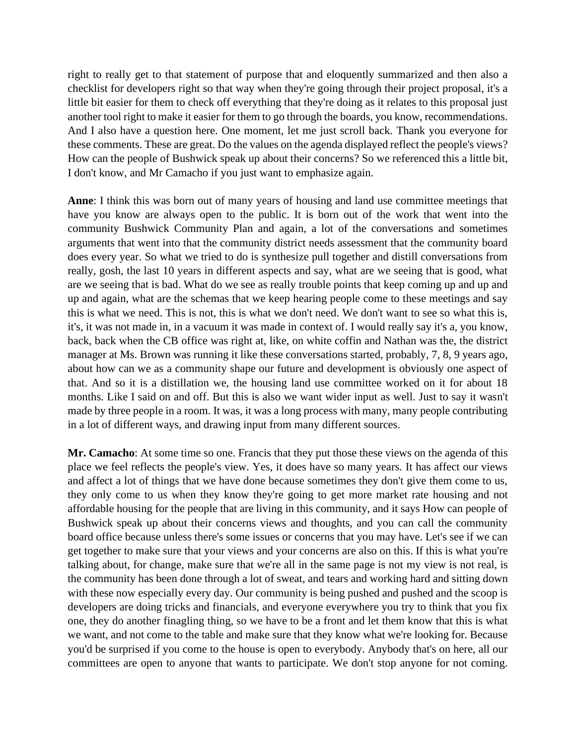right to really get to that statement of purpose that and eloquently summarized and then also a checklist for developers right so that way when they're going through their project proposal, it's a little bit easier for them to check off everything that they're doing as it relates to this proposal just another tool right to make it easier for them to go through the boards, you know, recommendations. And I also have a question here. One moment, let me just scroll back. Thank you everyone for these comments. These are great. Do the values on the agenda displayed reflect the people's views? How can the people of Bushwick speak up about their concerns? So we referenced this a little bit, I don't know, and Mr Camacho if you just want to emphasize again.

**Anne**: I think this was born out of many years of housing and land use committee meetings that have you know are always open to the public. It is born out of the work that went into the community Bushwick Community Plan and again, a lot of the conversations and sometimes arguments that went into that the community district needs assessment that the community board does every year. So what we tried to do is synthesize pull together and distill conversations from really, gosh, the last 10 years in different aspects and say, what are we seeing that is good, what are we seeing that is bad. What do we see as really trouble points that keep coming up and up and up and again, what are the schemas that we keep hearing people come to these meetings and say this is what we need. This is not, this is what we don't need. We don't want to see so what this is, it's, it was not made in, in a vacuum it was made in context of. I would really say it's a, you know, back, back when the CB office was right at, like, on white coffin and Nathan was the, the district manager at Ms. Brown was running it like these conversations started, probably, 7, 8, 9 years ago, about how can we as a community shape our future and development is obviously one aspect of that. And so it is a distillation we, the housing land use committee worked on it for about 18 months. Like I said on and off. But this is also we want wider input as well. Just to say it wasn't made by three people in a room. It was, it was a long process with many, many people contributing in a lot of different ways, and drawing input from many different sources.

**Mr. Camacho**: At some time so one. Francis that they put those these views on the agenda of this place we feel reflects the people's view. Yes, it does have so many years. It has affect our views and affect a lot of things that we have done because sometimes they don't give them come to us, they only come to us when they know they're going to get more market rate housing and not affordable housing for the people that are living in this community, and it says How can people of Bushwick speak up about their concerns views and thoughts, and you can call the community board office because unless there's some issues or concerns that you may have. Let's see if we can get together to make sure that your views and your concerns are also on this. If this is what you're talking about, for change, make sure that we're all in the same page is not my view is not real, is the community has been done through a lot of sweat, and tears and working hard and sitting down with these now especially every day. Our community is being pushed and pushed and the scoop is developers are doing tricks and financials, and everyone everywhere you try to think that you fix one, they do another finagling thing, so we have to be a front and let them know that this is what we want, and not come to the table and make sure that they know what we're looking for. Because you'd be surprised if you come to the house is open to everybody. Anybody that's on here, all our committees are open to anyone that wants to participate. We don't stop anyone for not coming.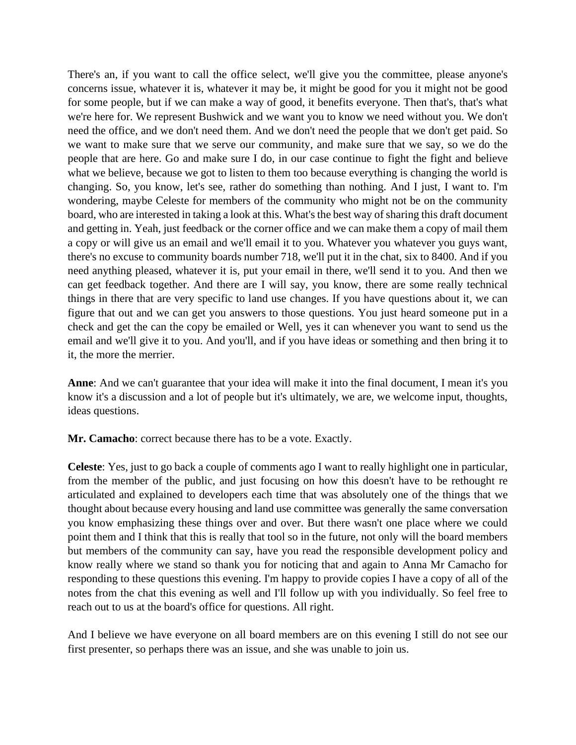There's an, if you want to call the office select, we'll give you the committee, please anyone's concerns issue, whatever it is, whatever it may be, it might be good for you it might not be good for some people, but if we can make a way of good, it benefits everyone. Then that's, that's what we're here for. We represent Bushwick and we want you to know we need without you. We don't need the office, and we don't need them. And we don't need the people that we don't get paid. So we want to make sure that we serve our community, and make sure that we say, so we do the people that are here. Go and make sure I do, in our case continue to fight the fight and believe what we believe, because we got to listen to them too because everything is changing the world is changing. So, you know, let's see, rather do something than nothing. And I just, I want to. I'm wondering, maybe Celeste for members of the community who might not be on the community board, who are interested in taking a look at this. What's the best way of sharing this draft document and getting in. Yeah, just feedback or the corner office and we can make them a copy of mail them a copy or will give us an email and we'll email it to you. Whatever you whatever you guys want, there's no excuse to community boards number 718, we'll put it in the chat, six to 8400. And if you need anything pleased, whatever it is, put your email in there, we'll send it to you. And then we can get feedback together. And there are I will say, you know, there are some really technical things in there that are very specific to land use changes. If you have questions about it, we can figure that out and we can get you answers to those questions. You just heard someone put in a check and get the can the copy be emailed or Well, yes it can whenever you want to send us the email and we'll give it to you. And you'll, and if you have ideas or something and then bring it to it, the more the merrier.

**Anne**: And we can't guarantee that your idea will make it into the final document, I mean it's you know it's a discussion and a lot of people but it's ultimately, we are, we welcome input, thoughts, ideas questions.

**Mr. Camacho**: correct because there has to be a vote. Exactly.

**Celeste**: Yes, just to go back a couple of comments ago I want to really highlight one in particular, from the member of the public, and just focusing on how this doesn't have to be rethought re articulated and explained to developers each time that was absolutely one of the things that we thought about because every housing and land use committee was generally the same conversation you know emphasizing these things over and over. But there wasn't one place where we could point them and I think that this is really that tool so in the future, not only will the board members but members of the community can say, have you read the responsible development policy and know really where we stand so thank you for noticing that and again to Anna Mr Camacho for responding to these questions this evening. I'm happy to provide copies I have a copy of all of the notes from the chat this evening as well and I'll follow up with you individually. So feel free to reach out to us at the board's office for questions. All right.

And I believe we have everyone on all board members are on this evening I still do not see our first presenter, so perhaps there was an issue, and she was unable to join us.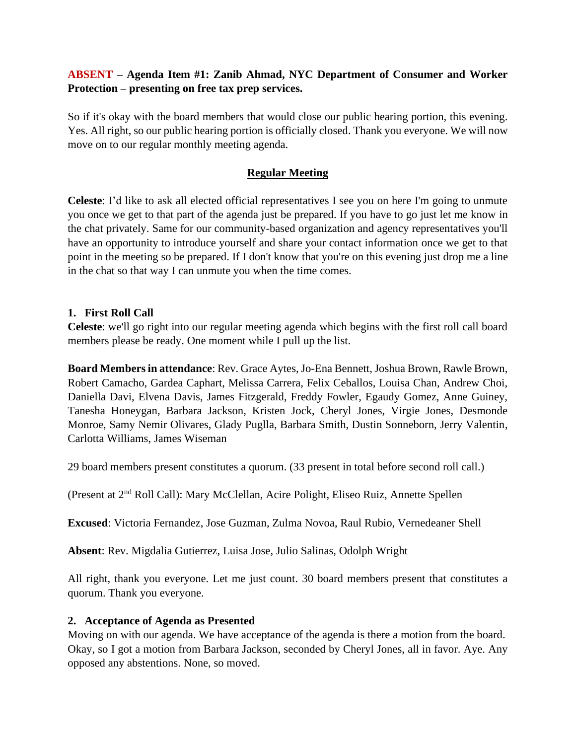## **ABSENT – Agenda Item #1: Zanib Ahmad, NYC Department of Consumer and Worker Protection – presenting on free tax prep services.**

So if it's okay with the board members that would close our public hearing portion, this evening. Yes. All right, so our public hearing portion is officially closed. Thank you everyone. We will now move on to our regular monthly meeting agenda.

## **Regular Meeting**

**Celeste**: I'd like to ask all elected official representatives I see you on here I'm going to unmute you once we get to that part of the agenda just be prepared. If you have to go just let me know in the chat privately. Same for our community-based organization and agency representatives you'll have an opportunity to introduce yourself and share your contact information once we get to that point in the meeting so be prepared. If I don't know that you're on this evening just drop me a line in the chat so that way I can unmute you when the time comes.

#### **1. First Roll Call**

**Celeste**: we'll go right into our regular meeting agenda which begins with the first roll call board members please be ready. One moment while I pull up the list.

**Board Members in attendance**: Rev. Grace Aytes, Jo-Ena Bennett, Joshua Brown, Rawle Brown, Robert Camacho, Gardea Caphart, Melissa Carrera, Felix Ceballos, Louisa Chan, Andrew Choi, Daniella Davi, Elvena Davis, James Fitzgerald, Freddy Fowler, Egaudy Gomez, Anne Guiney, Tanesha Honeygan, Barbara Jackson, Kristen Jock, Cheryl Jones, Virgie Jones, Desmonde Monroe, Samy Nemir Olivares, Glady Puglla, Barbara Smith, Dustin Sonneborn, Jerry Valentin, Carlotta Williams, James Wiseman

29 board members present constitutes a quorum. (33 present in total before second roll call.)

(Present at 2nd Roll Call): Mary McClellan, Acire Polight, Eliseo Ruiz, Annette Spellen

**Excused**: Victoria Fernandez, Jose Guzman, Zulma Novoa, Raul Rubio, Vernedeaner Shell

**Absent**: Rev. Migdalia Gutierrez, Luisa Jose, Julio Salinas, Odolph Wright

All right, thank you everyone. Let me just count. 30 board members present that constitutes a quorum. Thank you everyone.

#### **2. Acceptance of Agenda as Presented**

Moving on with our agenda. We have acceptance of the agenda is there a motion from the board. Okay, so I got a motion from Barbara Jackson, seconded by Cheryl Jones, all in favor. Aye. Any opposed any abstentions. None, so moved.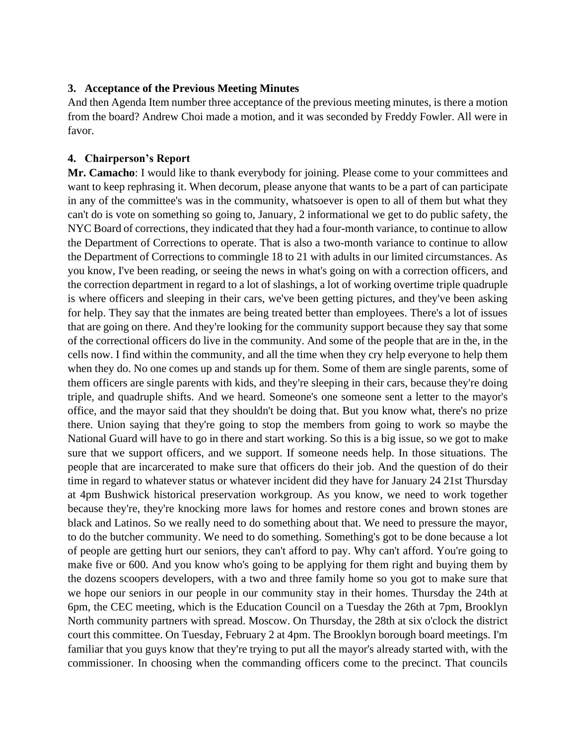#### **3. Acceptance of the Previous Meeting Minutes**

And then Agenda Item number three acceptance of the previous meeting minutes, is there a motion from the board? Andrew Choi made a motion, and it was seconded by Freddy Fowler. All were in favor.

### **4. Chairperson's Report**

**Mr. Camacho**: I would like to thank everybody for joining. Please come to your committees and want to keep rephrasing it. When decorum, please anyone that wants to be a part of can participate in any of the committee's was in the community, whatsoever is open to all of them but what they can't do is vote on something so going to, January, 2 informational we get to do public safety, the NYC Board of corrections, they indicated that they had a four-month variance, to continue to allow the Department of Corrections to operate. That is also a two-month variance to continue to allow the Department of Corrections to commingle 18 to 21 with adults in our limited circumstances. As you know, I've been reading, or seeing the news in what's going on with a correction officers, and the correction department in regard to a lot of slashings, a lot of working overtime triple quadruple is where officers and sleeping in their cars, we've been getting pictures, and they've been asking for help. They say that the inmates are being treated better than employees. There's a lot of issues that are going on there. And they're looking for the community support because they say that some of the correctional officers do live in the community. And some of the people that are in the, in the cells now. I find within the community, and all the time when they cry help everyone to help them when they do. No one comes up and stands up for them. Some of them are single parents, some of them officers are single parents with kids, and they're sleeping in their cars, because they're doing triple, and quadruple shifts. And we heard. Someone's one someone sent a letter to the mayor's office, and the mayor said that they shouldn't be doing that. But you know what, there's no prize there. Union saying that they're going to stop the members from going to work so maybe the National Guard will have to go in there and start working. So this is a big issue, so we got to make sure that we support officers, and we support. If someone needs help. In those situations. The people that are incarcerated to make sure that officers do their job. And the question of do their time in regard to whatever status or whatever incident did they have for January 24 21st Thursday at 4pm Bushwick historical preservation workgroup. As you know, we need to work together because they're, they're knocking more laws for homes and restore cones and brown stones are black and Latinos. So we really need to do something about that. We need to pressure the mayor, to do the butcher community. We need to do something. Something's got to be done because a lot of people are getting hurt our seniors, they can't afford to pay. Why can't afford. You're going to make five or 600. And you know who's going to be applying for them right and buying them by the dozens scoopers developers, with a two and three family home so you got to make sure that we hope our seniors in our people in our community stay in their homes. Thursday the 24th at 6pm, the CEC meeting, which is the Education Council on a Tuesday the 26th at 7pm, Brooklyn North community partners with spread. Moscow. On Thursday, the 28th at six o'clock the district court this committee. On Tuesday, February 2 at 4pm. The Brooklyn borough board meetings. I'm familiar that you guys know that they're trying to put all the mayor's already started with, with the commissioner. In choosing when the commanding officers come to the precinct. That councils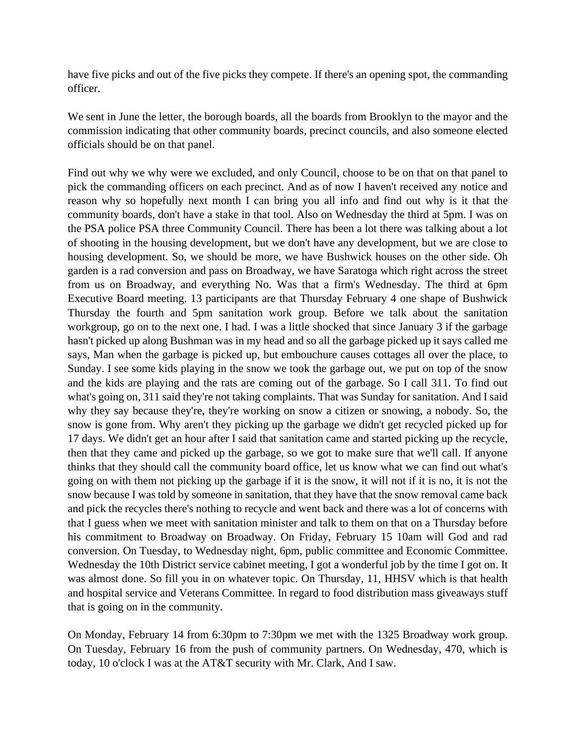have five picks and out of the five picks they compete. If there's an opening spot, the commanding officer.

We sent in June the letter, the borough boards, all the boards from Brooklyn to the mayor and the commission indicating that other community boards, precinct councils, and also someone elected officials should be on that panel.

Find out why we why were we excluded, and only Council, choose to be on that on that panel to pick the commanding officers on each precinct. And as of now I haven't received any notice and reason why so hopefully next month I can bring you all info and find out why is it that the community boards, don't have a stake in that tool. Also on Wednesday the third at 5pm. I was on the PSA police PSA three Community Council. There has been a lot there was talking about a lot of shooting in the housing development, but we don't have any development, but we are close to housing development. So, we should be more, we have Bushwick houses on the other side. Oh garden is a rad conversion and pass on Broadway, we have Saratoga which right across the street from us on Broadway, and everything No. Was that a firm's Wednesday. The third at 6pm Executive Board meeting. 13 participants are that Thursday February 4 one shape of Bushwick Thursday the fourth and 5pm sanitation work group. Before we talk about the sanitation workgroup, go on to the next one. I had. I was a little shocked that since January 3 if the garbage hasn't picked up along Bushman was in my head and so all the garbage picked up it says called me says, Man when the garbage is picked up, but embouchure causes cottages all over the place, to Sunday. I see some kids playing in the snow we took the garbage out, we put on top of the snow and the kids are playing and the rats are coming out of the garbage. So I call 311. To find out what's going on, 311 said they're not taking complaints. That was Sunday for sanitation. And I said why they say because they're, they're working on snow a citizen or snowing, a nobody. So, the snow is gone from. Why aren't they picking up the garbage we didn't get recycled picked up for 17 days. We didn't get an hour after I said that sanitation came and started picking up the recycle, then that they came and picked up the garbage, so we got to make sure that we'll call. If anyone thinks that they should call the community board office, let us know what we can find out what's going on with them not picking up the garbage if it is the snow, it will not if it is no, it is not the snow because I was told by someone in sanitation, that they have that the snow removal came back and pick the recycles there's nothing to recycle and went back and there was a lot of concerns with that I guess when we meet with sanitation minister and talk to them on that on a Thursday before his commitment to Broadway on Broadway. On Friday, February 15 10am will God and rad conversion. On Tuesday, to Wednesday night, 6pm, public committee and Economic Committee. Wednesday the 10th District service cabinet meeting, I got a wonderful job by the time I got on. It was almost done. So fill you in on whatever topic. On Thursday, 11, HHSV which is that health and hospital service and Veterans Committee. In regard to food distribution mass giveaways stuff that is going on in the community.

On Monday, February 14 from 6:30pm to 7:30pm we met with the 1325 Broadway work group. On Tuesday, February 16 from the push of community partners. On Wednesday, 470, which is today, 10 o'clock I was at the AT&T security with Mr. Clark, And I saw.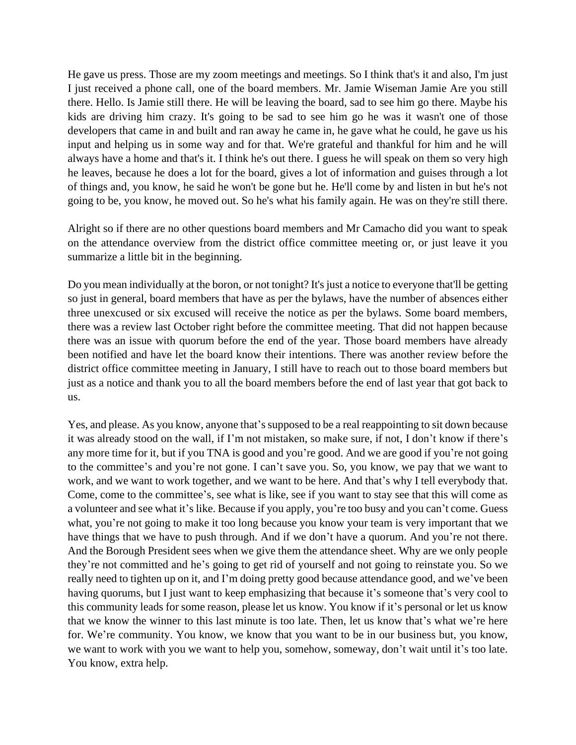He gave us press. Those are my zoom meetings and meetings. So I think that's it and also, I'm just I just received a phone call, one of the board members. Mr. Jamie Wiseman Jamie Are you still there. Hello. Is Jamie still there. He will be leaving the board, sad to see him go there. Maybe his kids are driving him crazy. It's going to be sad to see him go he was it wasn't one of those developers that came in and built and ran away he came in, he gave what he could, he gave us his input and helping us in some way and for that. We're grateful and thankful for him and he will always have a home and that's it. I think he's out there. I guess he will speak on them so very high he leaves, because he does a lot for the board, gives a lot of information and guises through a lot of things and, you know, he said he won't be gone but he. He'll come by and listen in but he's not going to be, you know, he moved out. So he's what his family again. He was on they're still there.

Alright so if there are no other questions board members and Mr Camacho did you want to speak on the attendance overview from the district office committee meeting or, or just leave it you summarize a little bit in the beginning.

Do you mean individually at the boron, or not tonight? It's just a notice to everyone that'll be getting so just in general, board members that have as per the bylaws, have the number of absences either three unexcused or six excused will receive the notice as per the bylaws. Some board members, there was a review last October right before the committee meeting. That did not happen because there was an issue with quorum before the end of the year. Those board members have already been notified and have let the board know their intentions. There was another review before the district office committee meeting in January, I still have to reach out to those board members but just as a notice and thank you to all the board members before the end of last year that got back to us.

Yes, and please. As you know, anyone that's supposed to be a real reappointing to sit down because it was already stood on the wall, if I'm not mistaken, so make sure, if not, I don't know if there's any more time for it, but if you TNA is good and you're good. And we are good if you're not going to the committee's and you're not gone. I can't save you. So, you know, we pay that we want to work, and we want to work together, and we want to be here. And that's why I tell everybody that. Come, come to the committee's, see what is like, see if you want to stay see that this will come as a volunteer and see what it's like. Because if you apply, you're too busy and you can't come. Guess what, you're not going to make it too long because you know your team is very important that we have things that we have to push through. And if we don't have a quorum. And you're not there. And the Borough President sees when we give them the attendance sheet. Why are we only people they're not committed and he's going to get rid of yourself and not going to reinstate you. So we really need to tighten up on it, and I'm doing pretty good because attendance good, and we've been having quorums, but I just want to keep emphasizing that because it's someone that's very cool to this community leads for some reason, please let us know. You know if it's personal or let us know that we know the winner to this last minute is too late. Then, let us know that's what we're here for. We're community. You know, we know that you want to be in our business but, you know, we want to work with you we want to help you, somehow, someway, don't wait until it's too late. You know, extra help.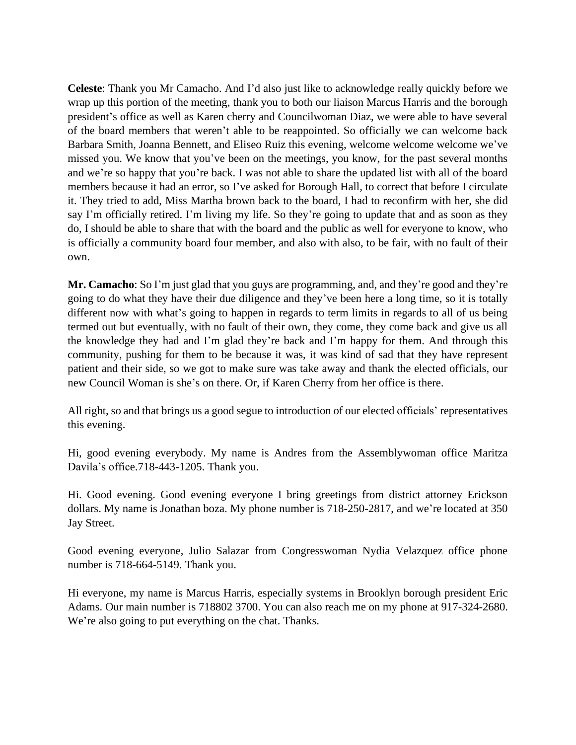**Celeste**: Thank you Mr Camacho. And I'd also just like to acknowledge really quickly before we wrap up this portion of the meeting, thank you to both our liaison Marcus Harris and the borough president's office as well as Karen cherry and Councilwoman Diaz, we were able to have several of the board members that weren't able to be reappointed. So officially we can welcome back Barbara Smith, Joanna Bennett, and Eliseo Ruiz this evening, welcome welcome welcome we've missed you. We know that you've been on the meetings, you know, for the past several months and we're so happy that you're back. I was not able to share the updated list with all of the board members because it had an error, so I've asked for Borough Hall, to correct that before I circulate it. They tried to add, Miss Martha brown back to the board, I had to reconfirm with her, she did say I'm officially retired. I'm living my life. So they're going to update that and as soon as they do, I should be able to share that with the board and the public as well for everyone to know, who is officially a community board four member, and also with also, to be fair, with no fault of their own.

**Mr. Camacho**: So I'm just glad that you guys are programming, and, and they're good and they're going to do what they have their due diligence and they've been here a long time, so it is totally different now with what's going to happen in regards to term limits in regards to all of us being termed out but eventually, with no fault of their own, they come, they come back and give us all the knowledge they had and I'm glad they're back and I'm happy for them. And through this community, pushing for them to be because it was, it was kind of sad that they have represent patient and their side, so we got to make sure was take away and thank the elected officials, our new Council Woman is she's on there. Or, if Karen Cherry from her office is there.

All right, so and that brings us a good segue to introduction of our elected officials' representatives this evening.

Hi, good evening everybody. My name is Andres from the Assemblywoman office Maritza Davila's office.718-443-1205. Thank you.

Hi. Good evening. Good evening everyone I bring greetings from district attorney Erickson dollars. My name is Jonathan boza. My phone number is 718-250-2817, and we're located at 350 Jay Street.

Good evening everyone, Julio Salazar from Congresswoman Nydia Velazquez office phone number is 718-664-5149. Thank you.

Hi everyone, my name is Marcus Harris, especially systems in Brooklyn borough president Eric Adams. Our main number is 718802 3700. You can also reach me on my phone at 917-324-2680. We're also going to put everything on the chat. Thanks.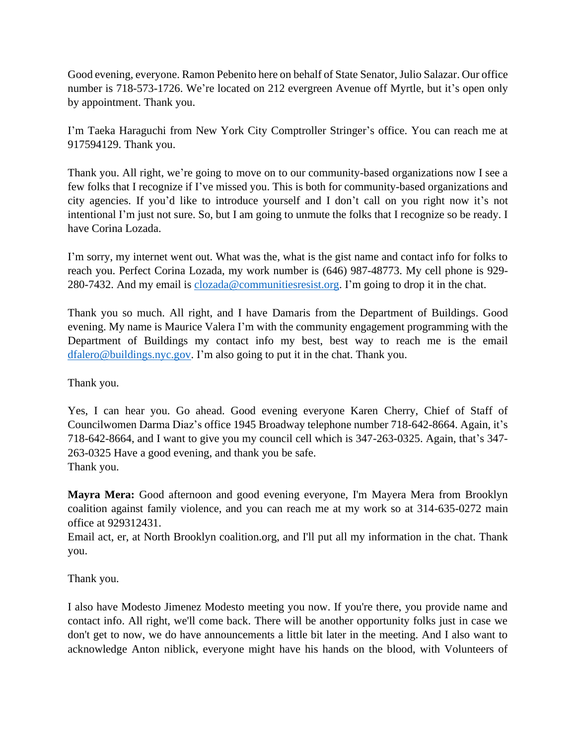Good evening, everyone. Ramon Pebenito here on behalf of State Senator, Julio Salazar. Our office number is 718-573-1726. We're located on 212 evergreen Avenue off Myrtle, but it's open only by appointment. Thank you.

I'm Taeka Haraguchi from New York City Comptroller Stringer's office. You can reach me at 917594129. Thank you.

Thank you. All right, we're going to move on to our community-based organizations now I see a few folks that I recognize if I've missed you. This is both for community-based organizations and city agencies. If you'd like to introduce yourself and I don't call on you right now it's not intentional I'm just not sure. So, but I am going to unmute the folks that I recognize so be ready. I have Corina Lozada.

I'm sorry, my internet went out. What was the, what is the gist name and contact info for folks to reach you. Perfect Corina Lozada, my work number is (646) 987-48773. My cell phone is 929- 280-7432. And my email is [clozada@communitiesresist.org.](mailto:clozada@communitiesresist.org) I'm going to drop it in the chat.

Thank you so much. All right, and I have Damaris from the Department of Buildings. Good evening. My name is Maurice Valera I'm with the community engagement programming with the Department of Buildings my contact info my best, best way to reach me is the email [dfalero@buildings.nyc.gov.](mailto:dfalero@buildings.nyc.gov) I'm also going to put it in the chat. Thank you.

Thank you.

Yes, I can hear you. Go ahead. Good evening everyone Karen Cherry, Chief of Staff of Councilwomen Darma Diaz's office 1945 Broadway telephone number 718-642-8664. Again, it's 718-642-8664, and I want to give you my council cell which is 347-263-0325. Again, that's 347- 263-0325 Have a good evening, and thank you be safe. Thank you.

**Mayra Mera:** Good afternoon and good evening everyone, I'm Mayera Mera from Brooklyn coalition against family violence, and you can reach me at my work so at 314-635-0272 main office at 929312431.

Email act, er, at North Brooklyn coalition.org, and I'll put all my information in the chat. Thank you.

Thank you.

I also have Modesto Jimenez Modesto meeting you now. If you're there, you provide name and contact info. All right, we'll come back. There will be another opportunity folks just in case we don't get to now, we do have announcements a little bit later in the meeting. And I also want to acknowledge Anton niblick, everyone might have his hands on the blood, with Volunteers of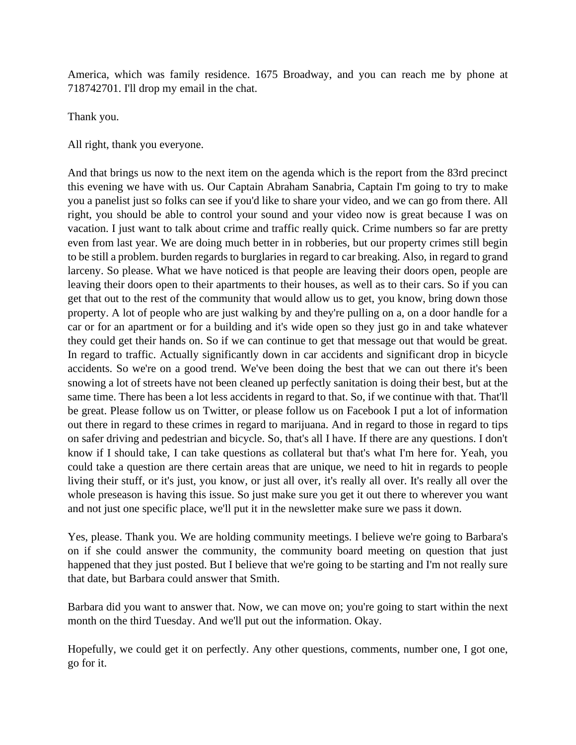America, which was family residence. 1675 Broadway, and you can reach me by phone at 718742701. I'll drop my email in the chat.

Thank you.

All right, thank you everyone.

And that brings us now to the next item on the agenda which is the report from the 83rd precinct this evening we have with us. Our Captain Abraham Sanabria, Captain I'm going to try to make you a panelist just so folks can see if you'd like to share your video, and we can go from there. All right, you should be able to control your sound and your video now is great because I was on vacation. I just want to talk about crime and traffic really quick. Crime numbers so far are pretty even from last year. We are doing much better in in robberies, but our property crimes still begin to be still a problem. burden regards to burglaries in regard to car breaking. Also, in regard to grand larceny. So please. What we have noticed is that people are leaving their doors open, people are leaving their doors open to their apartments to their houses, as well as to their cars. So if you can get that out to the rest of the community that would allow us to get, you know, bring down those property. A lot of people who are just walking by and they're pulling on a, on a door handle for a car or for an apartment or for a building and it's wide open so they just go in and take whatever they could get their hands on. So if we can continue to get that message out that would be great. In regard to traffic. Actually significantly down in car accidents and significant drop in bicycle accidents. So we're on a good trend. We've been doing the best that we can out there it's been snowing a lot of streets have not been cleaned up perfectly sanitation is doing their best, but at the same time. There has been a lot less accidents in regard to that. So, if we continue with that. That'll be great. Please follow us on Twitter, or please follow us on Facebook I put a lot of information out there in regard to these crimes in regard to marijuana. And in regard to those in regard to tips on safer driving and pedestrian and bicycle. So, that's all I have. If there are any questions. I don't know if I should take, I can take questions as collateral but that's what I'm here for. Yeah, you could take a question are there certain areas that are unique, we need to hit in regards to people living their stuff, or it's just, you know, or just all over, it's really all over. It's really all over the whole preseason is having this issue. So just make sure you get it out there to wherever you want and not just one specific place, we'll put it in the newsletter make sure we pass it down.

Yes, please. Thank you. We are holding community meetings. I believe we're going to Barbara's on if she could answer the community, the community board meeting on question that just happened that they just posted. But I believe that we're going to be starting and I'm not really sure that date, but Barbara could answer that Smith.

Barbara did you want to answer that. Now, we can move on; you're going to start within the next month on the third Tuesday. And we'll put out the information. Okay.

Hopefully, we could get it on perfectly. Any other questions, comments, number one, I got one, go for it.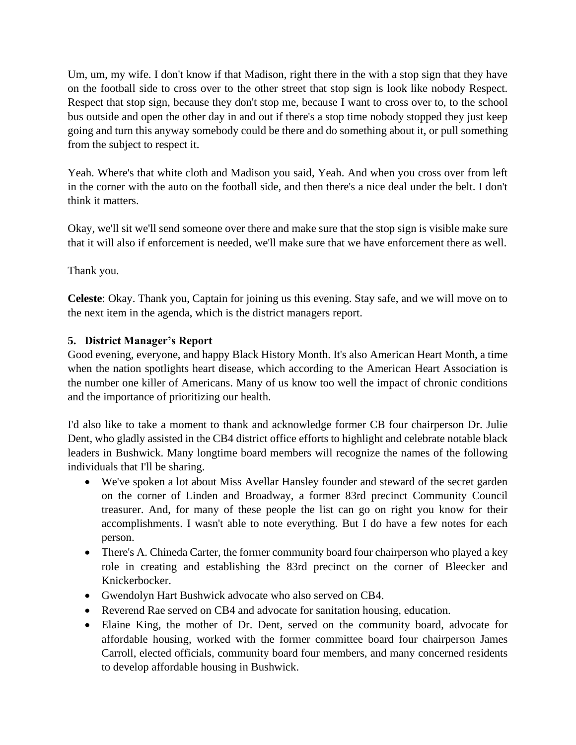Um, um, my wife. I don't know if that Madison, right there in the with a stop sign that they have on the football side to cross over to the other street that stop sign is look like nobody Respect. Respect that stop sign, because they don't stop me, because I want to cross over to, to the school bus outside and open the other day in and out if there's a stop time nobody stopped they just keep going and turn this anyway somebody could be there and do something about it, or pull something from the subject to respect it.

Yeah. Where's that white cloth and Madison you said, Yeah. And when you cross over from left in the corner with the auto on the football side, and then there's a nice deal under the belt. I don't think it matters.

Okay, we'll sit we'll send someone over there and make sure that the stop sign is visible make sure that it will also if enforcement is needed, we'll make sure that we have enforcement there as well.

Thank you.

**Celeste**: Okay. Thank you, Captain for joining us this evening. Stay safe, and we will move on to the next item in the agenda, which is the district managers report.

## **5. District Manager's Report**

Good evening, everyone, and happy Black History Month. It's also American Heart Month, a time when the nation spotlights heart disease, which according to the American Heart Association is the number one killer of Americans. Many of us know too well the impact of chronic conditions and the importance of prioritizing our health.

I'd also like to take a moment to thank and acknowledge former CB four chairperson Dr. Julie Dent, who gladly assisted in the CB4 district office efforts to highlight and celebrate notable black leaders in Bushwick. Many longtime board members will recognize the names of the following individuals that I'll be sharing.

- We've spoken a lot about Miss Avellar Hansley founder and steward of the secret garden on the corner of Linden and Broadway, a former 83rd precinct Community Council treasurer. And, for many of these people the list can go on right you know for their accomplishments. I wasn't able to note everything. But I do have a few notes for each person.
- There's A. Chineda Carter, the former community board four chairperson who played a key role in creating and establishing the 83rd precinct on the corner of Bleecker and Knickerbocker.
- Gwendolyn Hart Bushwick advocate who also served on CB4.
- Reverend Rae served on CB4 and advocate for sanitation housing, education.
- Elaine King, the mother of Dr. Dent, served on the community board, advocate for affordable housing, worked with the former committee board four chairperson James Carroll, elected officials, community board four members, and many concerned residents to develop affordable housing in Bushwick.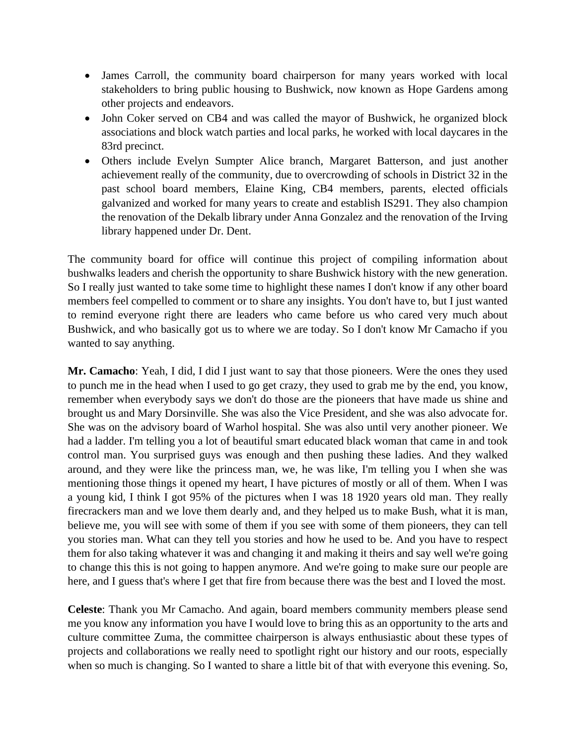- James Carroll, the community board chairperson for many years worked with local stakeholders to bring public housing to Bushwick, now known as Hope Gardens among other projects and endeavors.
- John Coker served on CB4 and was called the mayor of Bushwick, he organized block associations and block watch parties and local parks, he worked with local daycares in the 83rd precinct.
- Others include Evelyn Sumpter Alice branch, Margaret Batterson, and just another achievement really of the community, due to overcrowding of schools in District 32 in the past school board members, Elaine King, CB4 members, parents, elected officials galvanized and worked for many years to create and establish IS291. They also champion the renovation of the Dekalb library under Anna Gonzalez and the renovation of the Irving library happened under Dr. Dent.

The community board for office will continue this project of compiling information about bushwalks leaders and cherish the opportunity to share Bushwick history with the new generation. So I really just wanted to take some time to highlight these names I don't know if any other board members feel compelled to comment or to share any insights. You don't have to, but I just wanted to remind everyone right there are leaders who came before us who cared very much about Bushwick, and who basically got us to where we are today. So I don't know Mr Camacho if you wanted to say anything.

**Mr. Camacho**: Yeah, I did, I did I just want to say that those pioneers. Were the ones they used to punch me in the head when I used to go get crazy, they used to grab me by the end, you know, remember when everybody says we don't do those are the pioneers that have made us shine and brought us and Mary Dorsinville. She was also the Vice President, and she was also advocate for. She was on the advisory board of Warhol hospital. She was also until very another pioneer. We had a ladder. I'm telling you a lot of beautiful smart educated black woman that came in and took control man. You surprised guys was enough and then pushing these ladies. And they walked around, and they were like the princess man, we, he was like, I'm telling you I when she was mentioning those things it opened my heart, I have pictures of mostly or all of them. When I was a young kid, I think I got 95% of the pictures when I was 18 1920 years old man. They really firecrackers man and we love them dearly and, and they helped us to make Bush, what it is man, believe me, you will see with some of them if you see with some of them pioneers, they can tell you stories man. What can they tell you stories and how he used to be. And you have to respect them for also taking whatever it was and changing it and making it theirs and say well we're going to change this this is not going to happen anymore. And we're going to make sure our people are here, and I guess that's where I get that fire from because there was the best and I loved the most.

**Celeste**: Thank you Mr Camacho. And again, board members community members please send me you know any information you have I would love to bring this as an opportunity to the arts and culture committee Zuma, the committee chairperson is always enthusiastic about these types of projects and collaborations we really need to spotlight right our history and our roots, especially when so much is changing. So I wanted to share a little bit of that with everyone this evening. So,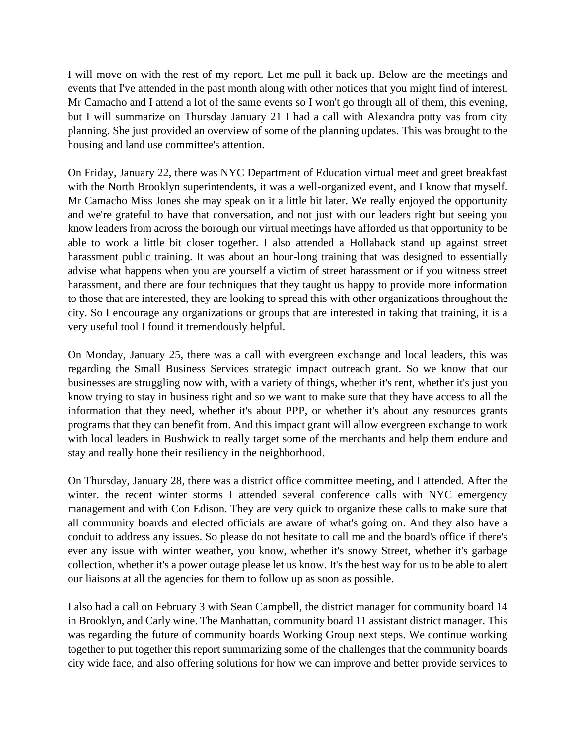I will move on with the rest of my report. Let me pull it back up. Below are the meetings and events that I've attended in the past month along with other notices that you might find of interest. Mr Camacho and I attend a lot of the same events so I won't go through all of them, this evening, but I will summarize on Thursday January 21 I had a call with Alexandra potty vas from city planning. She just provided an overview of some of the planning updates. This was brought to the housing and land use committee's attention.

On Friday, January 22, there was NYC Department of Education virtual meet and greet breakfast with the North Brooklyn superintendents, it was a well-organized event, and I know that myself. Mr Camacho Miss Jones she may speak on it a little bit later. We really enjoyed the opportunity and we're grateful to have that conversation, and not just with our leaders right but seeing you know leaders from across the borough our virtual meetings have afforded us that opportunity to be able to work a little bit closer together. I also attended a Hollaback stand up against street harassment public training. It was about an hour-long training that was designed to essentially advise what happens when you are yourself a victim of street harassment or if you witness street harassment, and there are four techniques that they taught us happy to provide more information to those that are interested, they are looking to spread this with other organizations throughout the city. So I encourage any organizations or groups that are interested in taking that training, it is a very useful tool I found it tremendously helpful.

On Monday, January 25, there was a call with evergreen exchange and local leaders, this was regarding the Small Business Services strategic impact outreach grant. So we know that our businesses are struggling now with, with a variety of things, whether it's rent, whether it's just you know trying to stay in business right and so we want to make sure that they have access to all the information that they need, whether it's about PPP, or whether it's about any resources grants programs that they can benefit from. And this impact grant will allow evergreen exchange to work with local leaders in Bushwick to really target some of the merchants and help them endure and stay and really hone their resiliency in the neighborhood.

On Thursday, January 28, there was a district office committee meeting, and I attended. After the winter. the recent winter storms I attended several conference calls with NYC emergency management and with Con Edison. They are very quick to organize these calls to make sure that all community boards and elected officials are aware of what's going on. And they also have a conduit to address any issues. So please do not hesitate to call me and the board's office if there's ever any issue with winter weather, you know, whether it's snowy Street, whether it's garbage collection, whether it's a power outage please let us know. It's the best way for us to be able to alert our liaisons at all the agencies for them to follow up as soon as possible.

I also had a call on February 3 with Sean Campbell, the district manager for community board 14 in Brooklyn, and Carly wine. The Manhattan, community board 11 assistant district manager. This was regarding the future of community boards Working Group next steps. We continue working together to put together this report summarizing some of the challenges that the community boards city wide face, and also offering solutions for how we can improve and better provide services to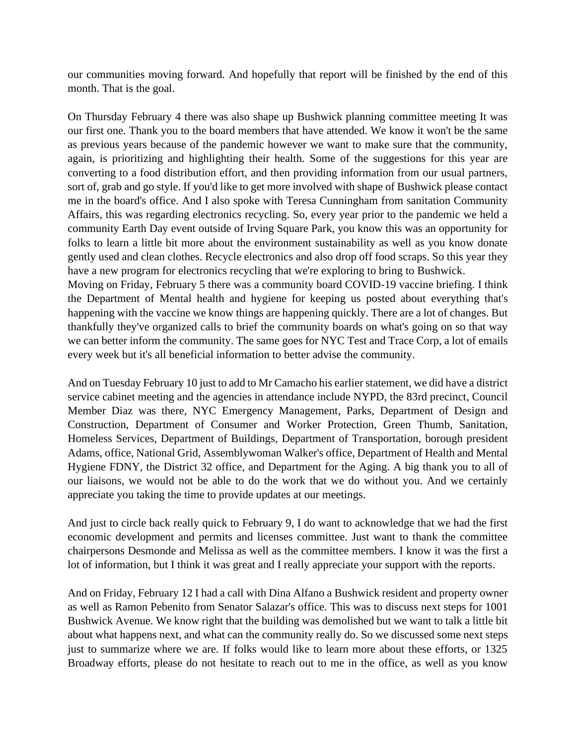our communities moving forward. And hopefully that report will be finished by the end of this month. That is the goal.

On Thursday February 4 there was also shape up Bushwick planning committee meeting It was our first one. Thank you to the board members that have attended. We know it won't be the same as previous years because of the pandemic however we want to make sure that the community, again, is prioritizing and highlighting their health. Some of the suggestions for this year are converting to a food distribution effort, and then providing information from our usual partners, sort of, grab and go style. If you'd like to get more involved with shape of Bushwick please contact me in the board's office. And I also spoke with Teresa Cunningham from sanitation Community Affairs, this was regarding electronics recycling. So, every year prior to the pandemic we held a community Earth Day event outside of Irving Square Park, you know this was an opportunity for folks to learn a little bit more about the environment sustainability as well as you know donate gently used and clean clothes. Recycle electronics and also drop off food scraps. So this year they have a new program for electronics recycling that we're exploring to bring to Bushwick.

Moving on Friday, February 5 there was a community board COVID-19 vaccine briefing. I think the Department of Mental health and hygiene for keeping us posted about everything that's happening with the vaccine we know things are happening quickly. There are a lot of changes. But thankfully they've organized calls to brief the community boards on what's going on so that way we can better inform the community. The same goes for NYC Test and Trace Corp, a lot of emails every week but it's all beneficial information to better advise the community.

And on Tuesday February 10 just to add to Mr Camacho his earlier statement, we did have a district service cabinet meeting and the agencies in attendance include NYPD, the 83rd precinct, Council Member Diaz was there, NYC Emergency Management, Parks, Department of Design and Construction, Department of Consumer and Worker Protection, Green Thumb, Sanitation, Homeless Services, Department of Buildings, Department of Transportation, borough president Adams, office, National Grid, Assemblywoman Walker's office, Department of Health and Mental Hygiene FDNY, the District 32 office, and Department for the Aging. A big thank you to all of our liaisons, we would not be able to do the work that we do without you. And we certainly appreciate you taking the time to provide updates at our meetings.

And just to circle back really quick to February 9, I do want to acknowledge that we had the first economic development and permits and licenses committee. Just want to thank the committee chairpersons Desmonde and Melissa as well as the committee members. I know it was the first a lot of information, but I think it was great and I really appreciate your support with the reports.

And on Friday, February 12 I had a call with Dina Alfano a Bushwick resident and property owner as well as Ramon Pebenito from Senator Salazar's office. This was to discuss next steps for 1001 Bushwick Avenue. We know right that the building was demolished but we want to talk a little bit about what happens next, and what can the community really do. So we discussed some next steps just to summarize where we are. If folks would like to learn more about these efforts, or 1325 Broadway efforts, please do not hesitate to reach out to me in the office, as well as you know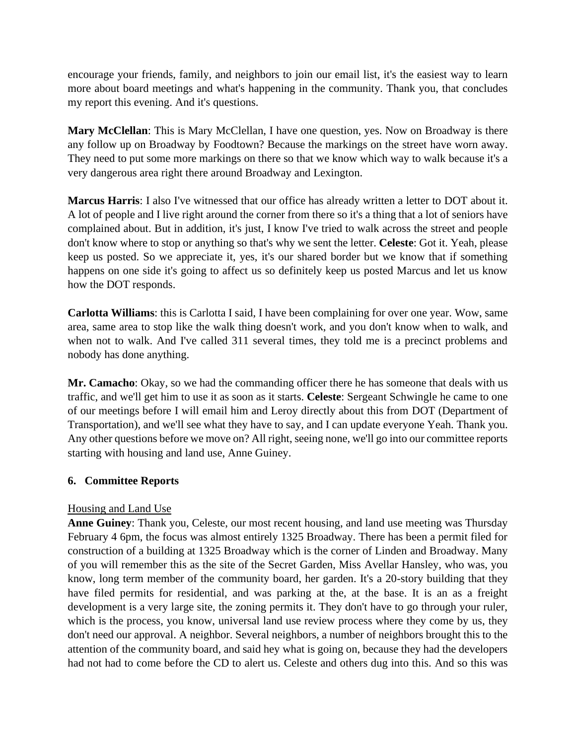encourage your friends, family, and neighbors to join our email list, it's the easiest way to learn more about board meetings and what's happening in the community. Thank you, that concludes my report this evening. And it's questions.

**Mary McClellan**: This is Mary McClellan, I have one question, yes. Now on Broadway is there any follow up on Broadway by Foodtown? Because the markings on the street have worn away. They need to put some more markings on there so that we know which way to walk because it's a very dangerous area right there around Broadway and Lexington.

**Marcus Harris**: I also I've witnessed that our office has already written a letter to DOT about it. A lot of people and I live right around the corner from there so it's a thing that a lot of seniors have complained about. But in addition, it's just, I know I've tried to walk across the street and people don't know where to stop or anything so that's why we sent the letter. **Celeste**: Got it. Yeah, please keep us posted. So we appreciate it, yes, it's our shared border but we know that if something happens on one side it's going to affect us so definitely keep us posted Marcus and let us know how the DOT responds.

**Carlotta Williams**: this is Carlotta I said, I have been complaining for over one year. Wow, same area, same area to stop like the walk thing doesn't work, and you don't know when to walk, and when not to walk. And I've called 311 several times, they told me is a precinct problems and nobody has done anything.

**Mr. Camacho**: Okay, so we had the commanding officer there he has someone that deals with us traffic, and we'll get him to use it as soon as it starts. **Celeste**: Sergeant Schwingle he came to one of our meetings before I will email him and Leroy directly about this from DOT (Department of Transportation), and we'll see what they have to say, and I can update everyone Yeah. Thank you. Any other questions before we move on? All right, seeing none, we'll go into our committee reports starting with housing and land use, Anne Guiney.

## **6. Committee Reports**

## Housing and Land Use

**Anne Guiney**: Thank you, Celeste, our most recent housing, and land use meeting was Thursday February 4 6pm, the focus was almost entirely 1325 Broadway. There has been a permit filed for construction of a building at 1325 Broadway which is the corner of Linden and Broadway. Many of you will remember this as the site of the Secret Garden, Miss Avellar Hansley, who was, you know, long term member of the community board, her garden. It's a 20-story building that they have filed permits for residential, and was parking at the, at the base. It is an as a freight development is a very large site, the zoning permits it. They don't have to go through your ruler, which is the process, you know, universal land use review process where they come by us, they don't need our approval. A neighbor. Several neighbors, a number of neighbors brought this to the attention of the community board, and said hey what is going on, because they had the developers had not had to come before the CD to alert us. Celeste and others dug into this. And so this was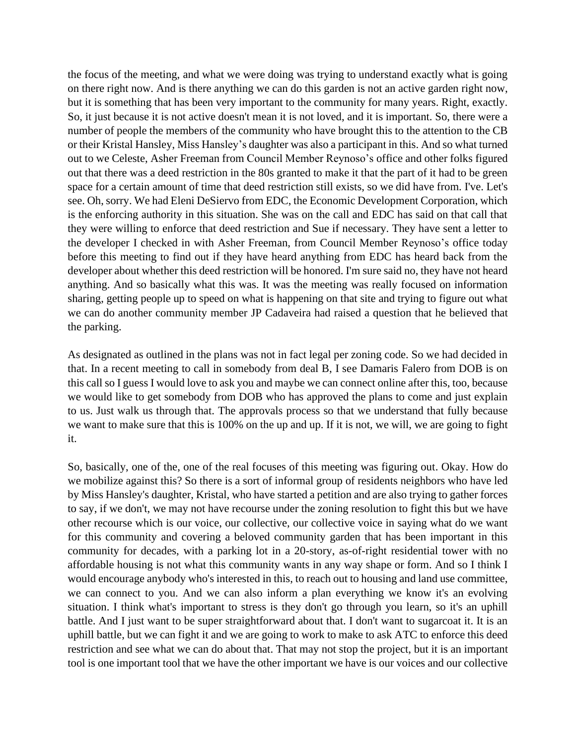the focus of the meeting, and what we were doing was trying to understand exactly what is going on there right now. And is there anything we can do this garden is not an active garden right now, but it is something that has been very important to the community for many years. Right, exactly. So, it just because it is not active doesn't mean it is not loved, and it is important. So, there were a number of people the members of the community who have brought this to the attention to the CB or their Kristal Hansley, Miss Hansley's daughter was also a participant in this. And so what turned out to we Celeste, Asher Freeman from Council Member Reynoso's office and other folks figured out that there was a deed restriction in the 80s granted to make it that the part of it had to be green space for a certain amount of time that deed restriction still exists, so we did have from. I've. Let's see. Oh, sorry. We had Eleni DeSiervo from EDC, the Economic Development Corporation, which is the enforcing authority in this situation. She was on the call and EDC has said on that call that they were willing to enforce that deed restriction and Sue if necessary. They have sent a letter to the developer I checked in with Asher Freeman, from Council Member Reynoso's office today before this meeting to find out if they have heard anything from EDC has heard back from the developer about whether this deed restriction will be honored. I'm sure said no, they have not heard anything. And so basically what this was. It was the meeting was really focused on information sharing, getting people up to speed on what is happening on that site and trying to figure out what we can do another community member JP Cadaveira had raised a question that he believed that the parking.

As designated as outlined in the plans was not in fact legal per zoning code. So we had decided in that. In a recent meeting to call in somebody from deal B, I see Damaris Falero from DOB is on this call so I guess I would love to ask you and maybe we can connect online after this, too, because we would like to get somebody from DOB who has approved the plans to come and just explain to us. Just walk us through that. The approvals process so that we understand that fully because we want to make sure that this is 100% on the up and up. If it is not, we will, we are going to fight it.

So, basically, one of the, one of the real focuses of this meeting was figuring out. Okay. How do we mobilize against this? So there is a sort of informal group of residents neighbors who have led by Miss Hansley's daughter, Kristal, who have started a petition and are also trying to gather forces to say, if we don't, we may not have recourse under the zoning resolution to fight this but we have other recourse which is our voice, our collective, our collective voice in saying what do we want for this community and covering a beloved community garden that has been important in this community for decades, with a parking lot in a 20-story, as-of-right residential tower with no affordable housing is not what this community wants in any way shape or form. And so I think I would encourage anybody who's interested in this, to reach out to housing and land use committee, we can connect to you. And we can also inform a plan everything we know it's an evolving situation. I think what's important to stress is they don't go through you learn, so it's an uphill battle. And I just want to be super straightforward about that. I don't want to sugarcoat it. It is an uphill battle, but we can fight it and we are going to work to make to ask ATC to enforce this deed restriction and see what we can do about that. That may not stop the project, but it is an important tool is one important tool that we have the other important we have is our voices and our collective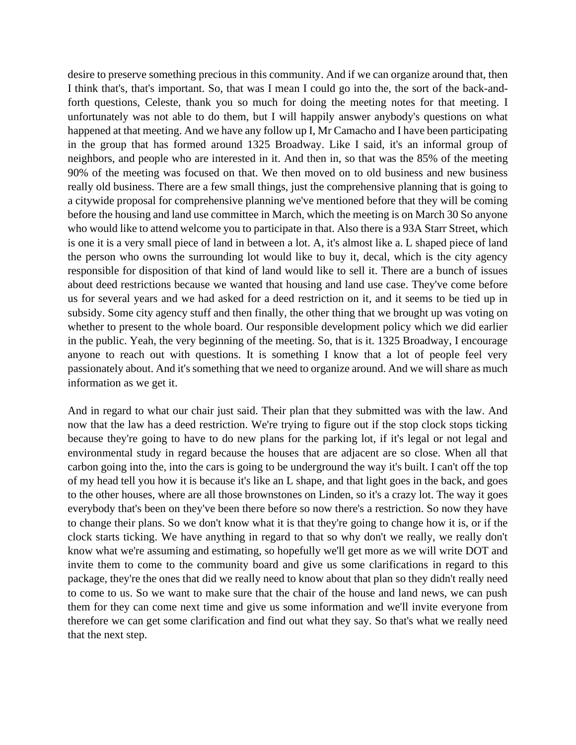desire to preserve something precious in this community. And if we can organize around that, then I think that's, that's important. So, that was I mean I could go into the, the sort of the back-andforth questions, Celeste, thank you so much for doing the meeting notes for that meeting. I unfortunately was not able to do them, but I will happily answer anybody's questions on what happened at that meeting. And we have any follow up I, Mr Camacho and I have been participating in the group that has formed around 1325 Broadway. Like I said, it's an informal group of neighbors, and people who are interested in it. And then in, so that was the 85% of the meeting 90% of the meeting was focused on that. We then moved on to old business and new business really old business. There are a few small things, just the comprehensive planning that is going to a citywide proposal for comprehensive planning we've mentioned before that they will be coming before the housing and land use committee in March, which the meeting is on March 30 So anyone who would like to attend welcome you to participate in that. Also there is a 93A Starr Street, which is one it is a very small piece of land in between a lot. A, it's almost like a. L shaped piece of land the person who owns the surrounding lot would like to buy it, decal, which is the city agency responsible for disposition of that kind of land would like to sell it. There are a bunch of issues about deed restrictions because we wanted that housing and land use case. They've come before us for several years and we had asked for a deed restriction on it, and it seems to be tied up in subsidy. Some city agency stuff and then finally, the other thing that we brought up was voting on whether to present to the whole board. Our responsible development policy which we did earlier in the public. Yeah, the very beginning of the meeting. So, that is it. 1325 Broadway, I encourage anyone to reach out with questions. It is something I know that a lot of people feel very passionately about. And it's something that we need to organize around. And we will share as much information as we get it.

And in regard to what our chair just said. Their plan that they submitted was with the law. And now that the law has a deed restriction. We're trying to figure out if the stop clock stops ticking because they're going to have to do new plans for the parking lot, if it's legal or not legal and environmental study in regard because the houses that are adjacent are so close. When all that carbon going into the, into the cars is going to be underground the way it's built. I can't off the top of my head tell you how it is because it's like an L shape, and that light goes in the back, and goes to the other houses, where are all those brownstones on Linden, so it's a crazy lot. The way it goes everybody that's been on they've been there before so now there's a restriction. So now they have to change their plans. So we don't know what it is that they're going to change how it is, or if the clock starts ticking. We have anything in regard to that so why don't we really, we really don't know what we're assuming and estimating, so hopefully we'll get more as we will write DOT and invite them to come to the community board and give us some clarifications in regard to this package, they're the ones that did we really need to know about that plan so they didn't really need to come to us. So we want to make sure that the chair of the house and land news, we can push them for they can come next time and give us some information and we'll invite everyone from therefore we can get some clarification and find out what they say. So that's what we really need that the next step.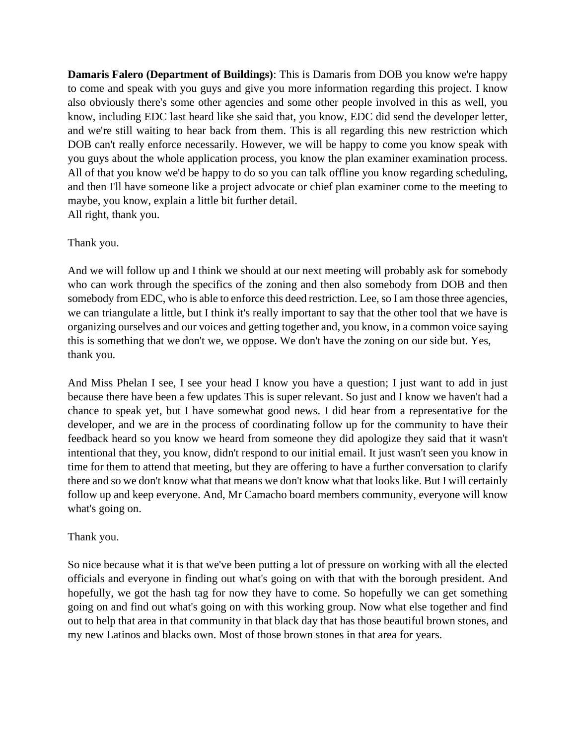**Damaris Falero (Department of Buildings)**: This is Damaris from DOB you know we're happy to come and speak with you guys and give you more information regarding this project. I know also obviously there's some other agencies and some other people involved in this as well, you know, including EDC last heard like she said that, you know, EDC did send the developer letter, and we're still waiting to hear back from them. This is all regarding this new restriction which DOB can't really enforce necessarily. However, we will be happy to come you know speak with you guys about the whole application process, you know the plan examiner examination process. All of that you know we'd be happy to do so you can talk offline you know regarding scheduling, and then I'll have someone like a project advocate or chief plan examiner come to the meeting to maybe, you know, explain a little bit further detail. All right, thank you.

#### Thank you.

And we will follow up and I think we should at our next meeting will probably ask for somebody who can work through the specifics of the zoning and then also somebody from DOB and then somebody from EDC, who is able to enforce this deed restriction. Lee, so I am those three agencies, we can triangulate a little, but I think it's really important to say that the other tool that we have is organizing ourselves and our voices and getting together and, you know, in a common voice saying this is something that we don't we, we oppose. We don't have the zoning on our side but. Yes, thank you.

And Miss Phelan I see, I see your head I know you have a question; I just want to add in just because there have been a few updates This is super relevant. So just and I know we haven't had a chance to speak yet, but I have somewhat good news. I did hear from a representative for the developer, and we are in the process of coordinating follow up for the community to have their feedback heard so you know we heard from someone they did apologize they said that it wasn't intentional that they, you know, didn't respond to our initial email. It just wasn't seen you know in time for them to attend that meeting, but they are offering to have a further conversation to clarify there and so we don't know what that means we don't know what that looks like. But I will certainly follow up and keep everyone. And, Mr Camacho board members community, everyone will know what's going on.

#### Thank you.

So nice because what it is that we've been putting a lot of pressure on working with all the elected officials and everyone in finding out what's going on with that with the borough president. And hopefully, we got the hash tag for now they have to come. So hopefully we can get something going on and find out what's going on with this working group. Now what else together and find out to help that area in that community in that black day that has those beautiful brown stones, and my new Latinos and blacks own. Most of those brown stones in that area for years.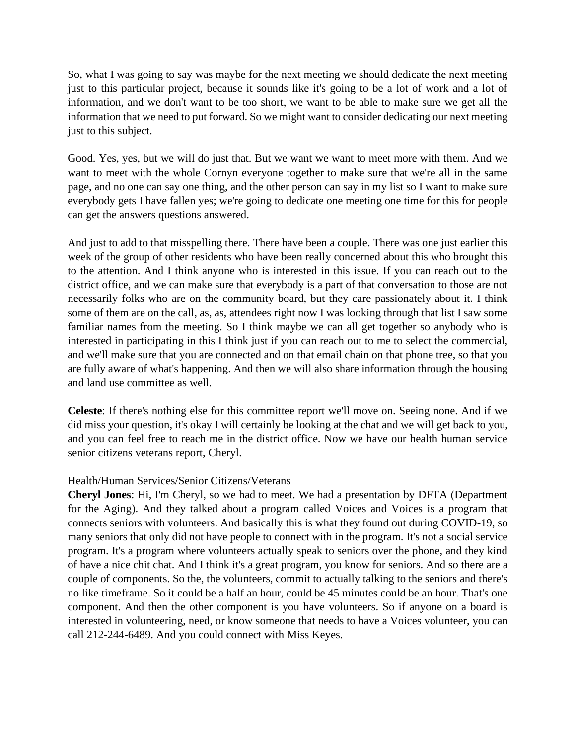So, what I was going to say was maybe for the next meeting we should dedicate the next meeting just to this particular project, because it sounds like it's going to be a lot of work and a lot of information, and we don't want to be too short, we want to be able to make sure we get all the information that we need to put forward. So we might want to consider dedicating our next meeting just to this subject.

Good. Yes, yes, but we will do just that. But we want we want to meet more with them. And we want to meet with the whole Cornyn everyone together to make sure that we're all in the same page, and no one can say one thing, and the other person can say in my list so I want to make sure everybody gets I have fallen yes; we're going to dedicate one meeting one time for this for people can get the answers questions answered.

And just to add to that misspelling there. There have been a couple. There was one just earlier this week of the group of other residents who have been really concerned about this who brought this to the attention. And I think anyone who is interested in this issue. If you can reach out to the district office, and we can make sure that everybody is a part of that conversation to those are not necessarily folks who are on the community board, but they care passionately about it. I think some of them are on the call, as, as, attendees right now I was looking through that list I saw some familiar names from the meeting. So I think maybe we can all get together so anybody who is interested in participating in this I think just if you can reach out to me to select the commercial, and we'll make sure that you are connected and on that email chain on that phone tree, so that you are fully aware of what's happening. And then we will also share information through the housing and land use committee as well.

**Celeste**: If there's nothing else for this committee report we'll move on. Seeing none. And if we did miss your question, it's okay I will certainly be looking at the chat and we will get back to you, and you can feel free to reach me in the district office. Now we have our health human service senior citizens veterans report, Cheryl.

## Health/Human Services/Senior Citizens/Veterans

**Cheryl Jones**: Hi, I'm Cheryl, so we had to meet. We had a presentation by DFTA (Department for the Aging). And they talked about a program called Voices and Voices is a program that connects seniors with volunteers. And basically this is what they found out during COVID-19, so many seniors that only did not have people to connect with in the program. It's not a social service program. It's a program where volunteers actually speak to seniors over the phone, and they kind of have a nice chit chat. And I think it's a great program, you know for seniors. And so there are a couple of components. So the, the volunteers, commit to actually talking to the seniors and there's no like timeframe. So it could be a half an hour, could be 45 minutes could be an hour. That's one component. And then the other component is you have volunteers. So if anyone on a board is interested in volunteering, need, or know someone that needs to have a Voices volunteer, you can call 212-244-6489. And you could connect with Miss Keyes.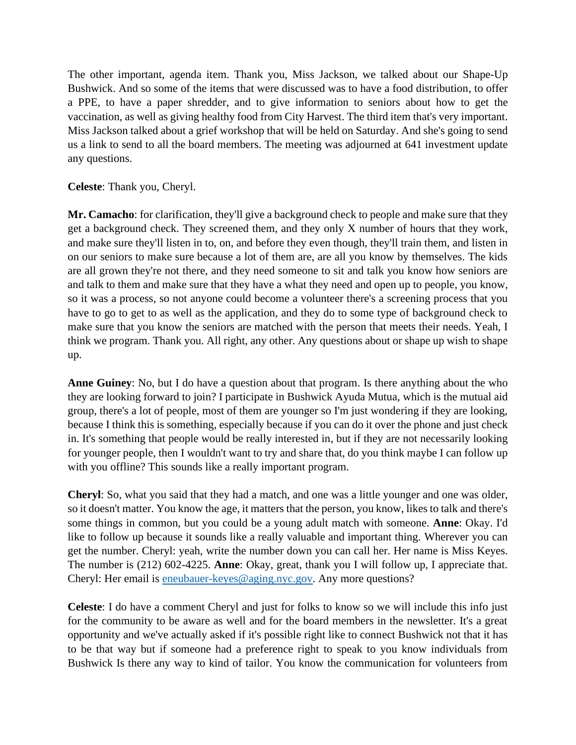The other important, agenda item. Thank you, Miss Jackson, we talked about our Shape-Up Bushwick. And so some of the items that were discussed was to have a food distribution, to offer a PPE, to have a paper shredder, and to give information to seniors about how to get the vaccination, as well as giving healthy food from City Harvest. The third item that's very important. Miss Jackson talked about a grief workshop that will be held on Saturday. And she's going to send us a link to send to all the board members. The meeting was adjourned at 641 investment update any questions.

**Celeste**: Thank you, Cheryl.

**Mr. Camacho**: for clarification, they'll give a background check to people and make sure that they get a background check. They screened them, and they only X number of hours that they work, and make sure they'll listen in to, on, and before they even though, they'll train them, and listen in on our seniors to make sure because a lot of them are, are all you know by themselves. The kids are all grown they're not there, and they need someone to sit and talk you know how seniors are and talk to them and make sure that they have a what they need and open up to people, you know, so it was a process, so not anyone could become a volunteer there's a screening process that you have to go to get to as well as the application, and they do to some type of background check to make sure that you know the seniors are matched with the person that meets their needs. Yeah, I think we program. Thank you. All right, any other. Any questions about or shape up wish to shape up.

**Anne Guiney**: No, but I do have a question about that program. Is there anything about the who they are looking forward to join? I participate in Bushwick Ayuda Mutua, which is the mutual aid group, there's a lot of people, most of them are younger so I'm just wondering if they are looking, because I think this is something, especially because if you can do it over the phone and just check in. It's something that people would be really interested in, but if they are not necessarily looking for younger people, then I wouldn't want to try and share that, do you think maybe I can follow up with you offline? This sounds like a really important program.

**Cheryl**: So, what you said that they had a match, and one was a little younger and one was older, so it doesn't matter. You know the age, it matters that the person, you know, likes to talk and there's some things in common, but you could be a young adult match with someone. **Anne**: Okay. I'd like to follow up because it sounds like a really valuable and important thing. Wherever you can get the number. Cheryl: yeah, write the number down you can call her. Her name is Miss Keyes. The number is (212) 602-4225. **Anne**: Okay, great, thank you I will follow up, I appreciate that. Cheryl: Her email is [eneubauer-keyes@aging.nyc.gov.](mailto:eneubauer-keyes@aging.nyc.gov) Any more questions?

**Celeste**: I do have a comment Cheryl and just for folks to know so we will include this info just for the community to be aware as well and for the board members in the newsletter. It's a great opportunity and we've actually asked if it's possible right like to connect Bushwick not that it has to be that way but if someone had a preference right to speak to you know individuals from Bushwick Is there any way to kind of tailor. You know the communication for volunteers from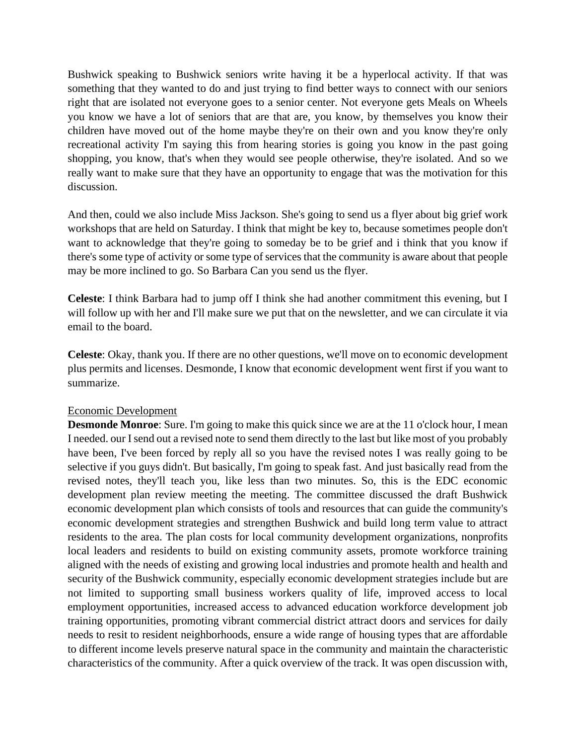Bushwick speaking to Bushwick seniors write having it be a hyperlocal activity. If that was something that they wanted to do and just trying to find better ways to connect with our seniors right that are isolated not everyone goes to a senior center. Not everyone gets Meals on Wheels you know we have a lot of seniors that are that are, you know, by themselves you know their children have moved out of the home maybe they're on their own and you know they're only recreational activity I'm saying this from hearing stories is going you know in the past going shopping, you know, that's when they would see people otherwise, they're isolated. And so we really want to make sure that they have an opportunity to engage that was the motivation for this discussion.

And then, could we also include Miss Jackson. She's going to send us a flyer about big grief work workshops that are held on Saturday. I think that might be key to, because sometimes people don't want to acknowledge that they're going to someday be to be grief and i think that you know if there's some type of activity or some type of services that the community is aware about that people may be more inclined to go. So Barbara Can you send us the flyer.

**Celeste**: I think Barbara had to jump off I think she had another commitment this evening, but I will follow up with her and I'll make sure we put that on the newsletter, and we can circulate it via email to the board.

**Celeste**: Okay, thank you. If there are no other questions, we'll move on to economic development plus permits and licenses. Desmonde, I know that economic development went first if you want to summarize.

#### Economic Development

**Desmonde Monroe**: Sure. I'm going to make this quick since we are at the 11 o'clock hour, I mean I needed. our I send out a revised note to send them directly to the last but like most of you probably have been, I've been forced by reply all so you have the revised notes I was really going to be selective if you guys didn't. But basically, I'm going to speak fast. And just basically read from the revised notes, they'll teach you, like less than two minutes. So, this is the EDC economic development plan review meeting the meeting. The committee discussed the draft Bushwick economic development plan which consists of tools and resources that can guide the community's economic development strategies and strengthen Bushwick and build long term value to attract residents to the area. The plan costs for local community development organizations, nonprofits local leaders and residents to build on existing community assets, promote workforce training aligned with the needs of existing and growing local industries and promote health and health and security of the Bushwick community, especially economic development strategies include but are not limited to supporting small business workers quality of life, improved access to local employment opportunities, increased access to advanced education workforce development job training opportunities, promoting vibrant commercial district attract doors and services for daily needs to resit to resident neighborhoods, ensure a wide range of housing types that are affordable to different income levels preserve natural space in the community and maintain the characteristic characteristics of the community. After a quick overview of the track. It was open discussion with,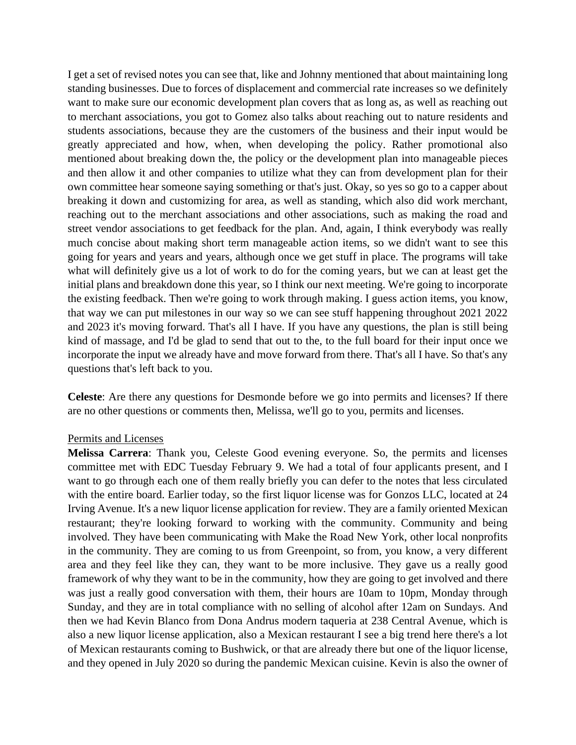I get a set of revised notes you can see that, like and Johnny mentioned that about maintaining long standing businesses. Due to forces of displacement and commercial rate increases so we definitely want to make sure our economic development plan covers that as long as, as well as reaching out to merchant associations, you got to Gomez also talks about reaching out to nature residents and students associations, because they are the customers of the business and their input would be greatly appreciated and how, when, when developing the policy. Rather promotional also mentioned about breaking down the, the policy or the development plan into manageable pieces and then allow it and other companies to utilize what they can from development plan for their own committee hear someone saying something or that's just. Okay, so yes so go to a capper about breaking it down and customizing for area, as well as standing, which also did work merchant, reaching out to the merchant associations and other associations, such as making the road and street vendor associations to get feedback for the plan. And, again, I think everybody was really much concise about making short term manageable action items, so we didn't want to see this going for years and years and years, although once we get stuff in place. The programs will take what will definitely give us a lot of work to do for the coming years, but we can at least get the initial plans and breakdown done this year, so I think our next meeting. We're going to incorporate the existing feedback. Then we're going to work through making. I guess action items, you know, that way we can put milestones in our way so we can see stuff happening throughout 2021 2022 and 2023 it's moving forward. That's all I have. If you have any questions, the plan is still being kind of massage, and I'd be glad to send that out to the, to the full board for their input once we incorporate the input we already have and move forward from there. That's all I have. So that's any questions that's left back to you.

**Celeste**: Are there any questions for Desmonde before we go into permits and licenses? If there are no other questions or comments then, Melissa, we'll go to you, permits and licenses.

#### Permits and Licenses

**Melissa Carrera**: Thank you, Celeste Good evening everyone. So, the permits and licenses committee met with EDC Tuesday February 9. We had a total of four applicants present, and I want to go through each one of them really briefly you can defer to the notes that less circulated with the entire board. Earlier today, so the first liquor license was for Gonzos LLC, located at 24 Irving Avenue. It's a new liquor license application for review. They are a family oriented Mexican restaurant; they're looking forward to working with the community. Community and being involved. They have been communicating with Make the Road New York, other local nonprofits in the community. They are coming to us from Greenpoint, so from, you know, a very different area and they feel like they can, they want to be more inclusive. They gave us a really good framework of why they want to be in the community, how they are going to get involved and there was just a really good conversation with them, their hours are 10am to 10pm, Monday through Sunday, and they are in total compliance with no selling of alcohol after 12am on Sundays. And then we had Kevin Blanco from Dona Andrus modern taqueria at 238 Central Avenue, which is also a new liquor license application, also a Mexican restaurant I see a big trend here there's a lot of Mexican restaurants coming to Bushwick, or that are already there but one of the liquor license, and they opened in July 2020 so during the pandemic Mexican cuisine. Kevin is also the owner of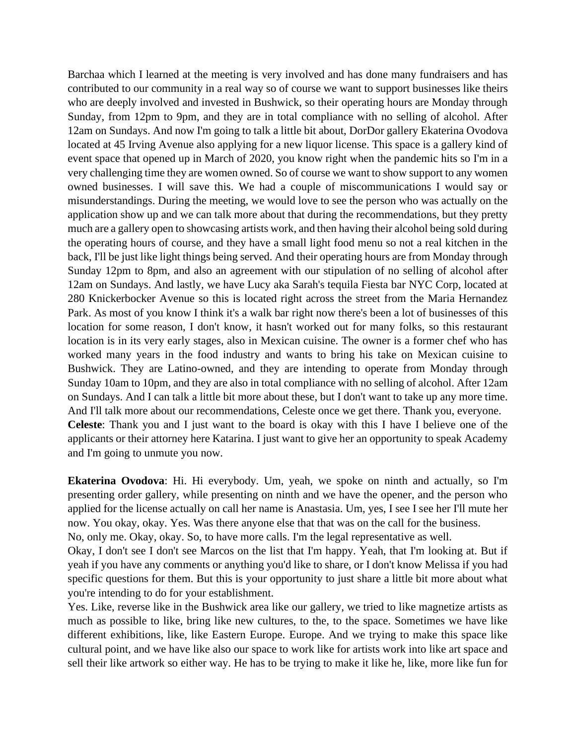Barchaa which I learned at the meeting is very involved and has done many fundraisers and has contributed to our community in a real way so of course we want to support businesses like theirs who are deeply involved and invested in Bushwick, so their operating hours are Monday through Sunday, from 12pm to 9pm, and they are in total compliance with no selling of alcohol. After 12am on Sundays. And now I'm going to talk a little bit about, DorDor gallery Ekaterina Ovodova located at 45 Irving Avenue also applying for a new liquor license. This space is a gallery kind of event space that opened up in March of 2020, you know right when the pandemic hits so I'm in a very challenging time they are women owned. So of course we want to show support to any women owned businesses. I will save this. We had a couple of miscommunications I would say or misunderstandings. During the meeting, we would love to see the person who was actually on the application show up and we can talk more about that during the recommendations, but they pretty much are a gallery open to showcasing artists work, and then having their alcohol being sold during the operating hours of course, and they have a small light food menu so not a real kitchen in the back, I'll be just like light things being served. And their operating hours are from Monday through Sunday 12pm to 8pm, and also an agreement with our stipulation of no selling of alcohol after 12am on Sundays. And lastly, we have Lucy aka Sarah's tequila Fiesta bar NYC Corp, located at 280 Knickerbocker Avenue so this is located right across the street from the Maria Hernandez Park. As most of you know I think it's a walk bar right now there's been a lot of businesses of this location for some reason, I don't know, it hasn't worked out for many folks, so this restaurant location is in its very early stages, also in Mexican cuisine. The owner is a former chef who has worked many years in the food industry and wants to bring his take on Mexican cuisine to Bushwick. They are Latino-owned, and they are intending to operate from Monday through Sunday 10am to 10pm, and they are also in total compliance with no selling of alcohol. After 12am on Sundays. And I can talk a little bit more about these, but I don't want to take up any more time. And I'll talk more about our recommendations, Celeste once we get there. Thank you, everyone. **Celeste**: Thank you and I just want to the board is okay with this I have I believe one of the applicants or their attorney here Katarina. I just want to give her an opportunity to speak Academy and I'm going to unmute you now.

**Ekaterina Ovodova**: Hi. Hi everybody. Um, yeah, we spoke on ninth and actually, so I'm presenting order gallery, while presenting on ninth and we have the opener, and the person who applied for the license actually on call her name is Anastasia. Um, yes, I see I see her I'll mute her now. You okay, okay. Yes. Was there anyone else that that was on the call for the business.

No, only me. Okay, okay. So, to have more calls. I'm the legal representative as well.

Okay, I don't see I don't see Marcos on the list that I'm happy. Yeah, that I'm looking at. But if yeah if you have any comments or anything you'd like to share, or I don't know Melissa if you had specific questions for them. But this is your opportunity to just share a little bit more about what you're intending to do for your establishment.

Yes. Like, reverse like in the Bushwick area like our gallery, we tried to like magnetize artists as much as possible to like, bring like new cultures, to the, to the space. Sometimes we have like different exhibitions, like, like Eastern Europe. Europe. And we trying to make this space like cultural point, and we have like also our space to work like for artists work into like art space and sell their like artwork so either way. He has to be trying to make it like he, like, more like fun for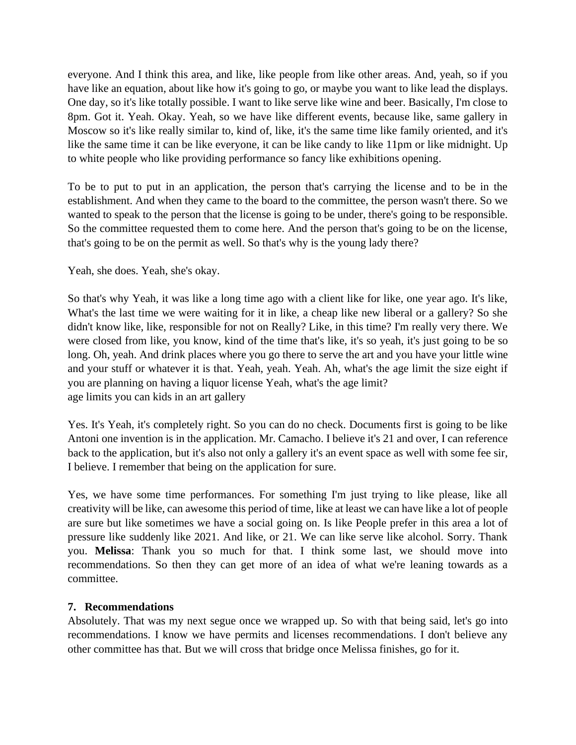everyone. And I think this area, and like, like people from like other areas. And, yeah, so if you have like an equation, about like how it's going to go, or maybe you want to like lead the displays. One day, so it's like totally possible. I want to like serve like wine and beer. Basically, I'm close to 8pm. Got it. Yeah. Okay. Yeah, so we have like different events, because like, same gallery in Moscow so it's like really similar to, kind of, like, it's the same time like family oriented, and it's like the same time it can be like everyone, it can be like candy to like 11pm or like midnight. Up to white people who like providing performance so fancy like exhibitions opening.

To be to put to put in an application, the person that's carrying the license and to be in the establishment. And when they came to the board to the committee, the person wasn't there. So we wanted to speak to the person that the license is going to be under, there's going to be responsible. So the committee requested them to come here. And the person that's going to be on the license, that's going to be on the permit as well. So that's why is the young lady there?

## Yeah, she does. Yeah, she's okay.

So that's why Yeah, it was like a long time ago with a client like for like, one year ago. It's like, What's the last time we were waiting for it in like, a cheap like new liberal or a gallery? So she didn't know like, like, responsible for not on Really? Like, in this time? I'm really very there. We were closed from like, you know, kind of the time that's like, it's so yeah, it's just going to be so long. Oh, yeah. And drink places where you go there to serve the art and you have your little wine and your stuff or whatever it is that. Yeah, yeah. Yeah. Ah, what's the age limit the size eight if you are planning on having a liquor license Yeah, what's the age limit? age limits you can kids in an art gallery

Yes. It's Yeah, it's completely right. So you can do no check. Documents first is going to be like Antoni one invention is in the application. Mr. Camacho. I believe it's 21 and over, I can reference back to the application, but it's also not only a gallery it's an event space as well with some fee sir, I believe. I remember that being on the application for sure.

Yes, we have some time performances. For something I'm just trying to like please, like all creativity will be like, can awesome this period of time, like at least we can have like a lot of people are sure but like sometimes we have a social going on. Is like People prefer in this area a lot of pressure like suddenly like 2021. And like, or 21. We can like serve like alcohol. Sorry. Thank you. **Melissa**: Thank you so much for that. I think some last, we should move into recommendations. So then they can get more of an idea of what we're leaning towards as a committee.

## **7. Recommendations**

Absolutely. That was my next segue once we wrapped up. So with that being said, let's go into recommendations. I know we have permits and licenses recommendations. I don't believe any other committee has that. But we will cross that bridge once Melissa finishes, go for it.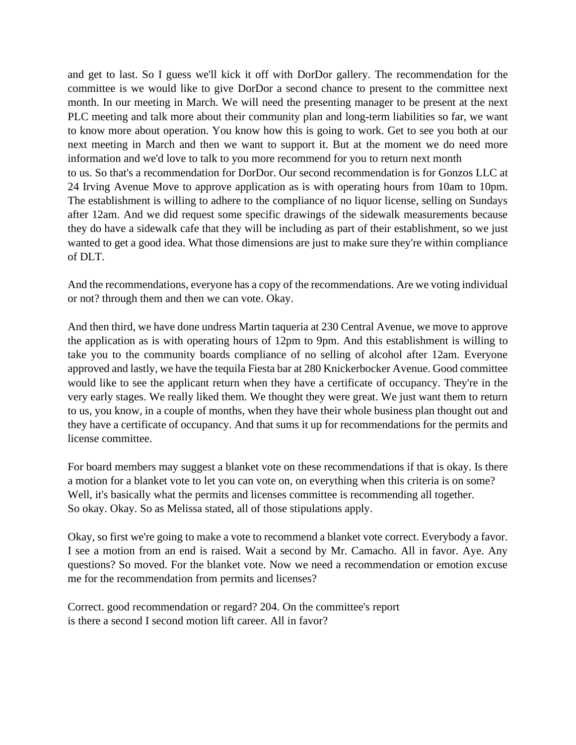and get to last. So I guess we'll kick it off with DorDor gallery. The recommendation for the committee is we would like to give DorDor a second chance to present to the committee next month. In our meeting in March. We will need the presenting manager to be present at the next PLC meeting and talk more about their community plan and long-term liabilities so far, we want to know more about operation. You know how this is going to work. Get to see you both at our next meeting in March and then we want to support it. But at the moment we do need more information and we'd love to talk to you more recommend for you to return next month to us. So that's a recommendation for DorDor. Our second recommendation is for Gonzos LLC at 24 Irving Avenue Move to approve application as is with operating hours from 10am to 10pm. The establishment is willing to adhere to the compliance of no liquor license, selling on Sundays after 12am. And we did request some specific drawings of the sidewalk measurements because they do have a sidewalk cafe that they will be including as part of their establishment, so we just wanted to get a good idea. What those dimensions are just to make sure they're within compliance of DLT.

And the recommendations, everyone has a copy of the recommendations. Are we voting individual or not? through them and then we can vote. Okay.

And then third, we have done undress Martin taqueria at 230 Central Avenue, we move to approve the application as is with operating hours of 12pm to 9pm. And this establishment is willing to take you to the community boards compliance of no selling of alcohol after 12am. Everyone approved and lastly, we have the tequila Fiesta bar at 280 Knickerbocker Avenue. Good committee would like to see the applicant return when they have a certificate of occupancy. They're in the very early stages. We really liked them. We thought they were great. We just want them to return to us, you know, in a couple of months, when they have their whole business plan thought out and they have a certificate of occupancy. And that sums it up for recommendations for the permits and license committee.

For board members may suggest a blanket vote on these recommendations if that is okay. Is there a motion for a blanket vote to let you can vote on, on everything when this criteria is on some? Well, it's basically what the permits and licenses committee is recommending all together. So okay. Okay. So as Melissa stated, all of those stipulations apply.

Okay, so first we're going to make a vote to recommend a blanket vote correct. Everybody a favor. I see a motion from an end is raised. Wait a second by Mr. Camacho. All in favor. Aye. Any questions? So moved. For the blanket vote. Now we need a recommendation or emotion excuse me for the recommendation from permits and licenses?

Correct. good recommendation or regard? 204. On the committee's report is there a second I second motion lift career. All in favor?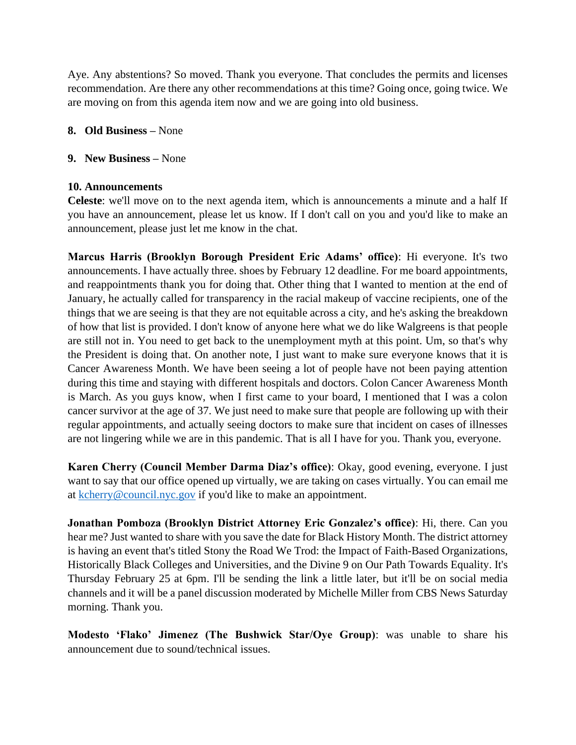Aye. Any abstentions? So moved. Thank you everyone. That concludes the permits and licenses recommendation. Are there any other recommendations at this time? Going once, going twice. We are moving on from this agenda item now and we are going into old business.

#### **8. Old Business –** None

#### **9. New Business –** None

#### **10. Announcements**

**Celeste**: we'll move on to the next agenda item, which is announcements a minute and a half If you have an announcement, please let us know. If I don't call on you and you'd like to make an announcement, please just let me know in the chat.

**Marcus Harris (Brooklyn Borough President Eric Adams' office)**: Hi everyone. It's two announcements. I have actually three. shoes by February 12 deadline. For me board appointments, and reappointments thank you for doing that. Other thing that I wanted to mention at the end of January, he actually called for transparency in the racial makeup of vaccine recipients, one of the things that we are seeing is that they are not equitable across a city, and he's asking the breakdown of how that list is provided. I don't know of anyone here what we do like Walgreens is that people are still not in. You need to get back to the unemployment myth at this point. Um, so that's why the President is doing that. On another note, I just want to make sure everyone knows that it is Cancer Awareness Month. We have been seeing a lot of people have not been paying attention during this time and staying with different hospitals and doctors. Colon Cancer Awareness Month is March. As you guys know, when I first came to your board, I mentioned that I was a colon cancer survivor at the age of 37. We just need to make sure that people are following up with their regular appointments, and actually seeing doctors to make sure that incident on cases of illnesses are not lingering while we are in this pandemic. That is all I have for you. Thank you, everyone.

**Karen Cherry (Council Member Darma Diaz's office)**: Okay, good evening, everyone. I just want to say that our office opened up virtually, we are taking on cases virtually. You can email me at [kcherry@council.nyc.gov](mailto:kcherry@council.nyc.gov) if you'd like to make an appointment.

**Jonathan Pomboza (Brooklyn District Attorney Eric Gonzalez's office)**: Hi, there. Can you hear me? Just wanted to share with you save the date for Black History Month. The district attorney is having an event that's titled Stony the Road We Trod: the Impact of Faith-Based Organizations, Historically Black Colleges and Universities, and the Divine 9 on Our Path Towards Equality. It's Thursday February 25 at 6pm. I'll be sending the link a little later, but it'll be on social media channels and it will be a panel discussion moderated by Michelle Miller from CBS News Saturday morning. Thank you.

**Modesto 'Flako' Jimenez (The Bushwick Star/Oye Group)**: was unable to share his announcement due to sound/technical issues.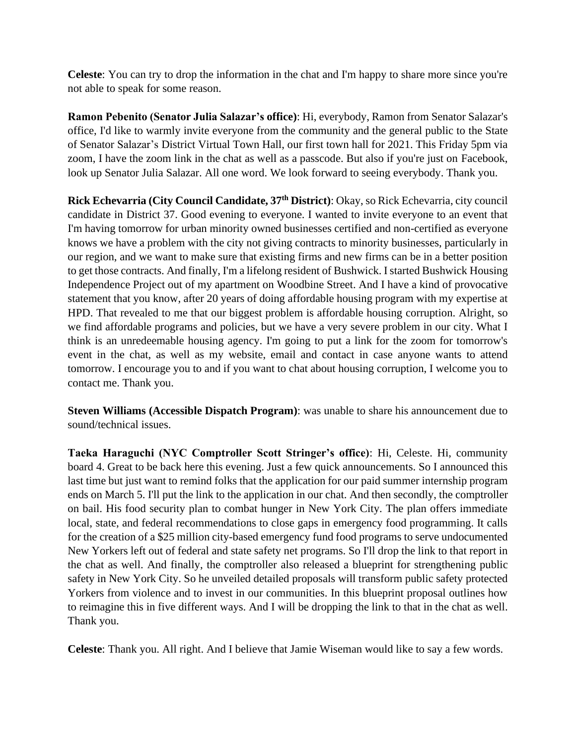**Celeste**: You can try to drop the information in the chat and I'm happy to share more since you're not able to speak for some reason.

**Ramon Pebenito (Senator Julia Salazar's office)**: Hi, everybody, Ramon from Senator Salazar's office, I'd like to warmly invite everyone from the community and the general public to the State of Senator Salazar's District Virtual Town Hall, our first town hall for 2021. This Friday 5pm via zoom, I have the zoom link in the chat as well as a passcode. But also if you're just on Facebook, look up Senator Julia Salazar. All one word. We look forward to seeing everybody. Thank you.

**Rick Echevarria (City Council Candidate, 37th District)**: Okay, so Rick Echevarria, city council candidate in District 37. Good evening to everyone. I wanted to invite everyone to an event that I'm having tomorrow for urban minority owned businesses certified and non-certified as everyone knows we have a problem with the city not giving contracts to minority businesses, particularly in our region, and we want to make sure that existing firms and new firms can be in a better position to get those contracts. And finally, I'm a lifelong resident of Bushwick. I started Bushwick Housing Independence Project out of my apartment on Woodbine Street. And I have a kind of provocative statement that you know, after 20 years of doing affordable housing program with my expertise at HPD. That revealed to me that our biggest problem is affordable housing corruption. Alright, so we find affordable programs and policies, but we have a very severe problem in our city. What I think is an unredeemable housing agency. I'm going to put a link for the zoom for tomorrow's event in the chat, as well as my website, email and contact in case anyone wants to attend tomorrow. I encourage you to and if you want to chat about housing corruption, I welcome you to contact me. Thank you.

**Steven Williams (Accessible Dispatch Program)**: was unable to share his announcement due to sound/technical issues.

**Taeka Haraguchi (NYC Comptroller Scott Stringer's office)**: Hi, Celeste. Hi, community board 4. Great to be back here this evening. Just a few quick announcements. So I announced this last time but just want to remind folks that the application for our paid summer internship program ends on March 5. I'll put the link to the application in our chat. And then secondly, the comptroller on bail. His food security plan to combat hunger in New York City. The plan offers immediate local, state, and federal recommendations to close gaps in emergency food programming. It calls for the creation of a \$25 million city-based emergency fund food programs to serve undocumented New Yorkers left out of federal and state safety net programs. So I'll drop the link to that report in the chat as well. And finally, the comptroller also released a blueprint for strengthening public safety in New York City. So he unveiled detailed proposals will transform public safety protected Yorkers from violence and to invest in our communities. In this blueprint proposal outlines how to reimagine this in five different ways. And I will be dropping the link to that in the chat as well. Thank you.

**Celeste**: Thank you. All right. And I believe that Jamie Wiseman would like to say a few words.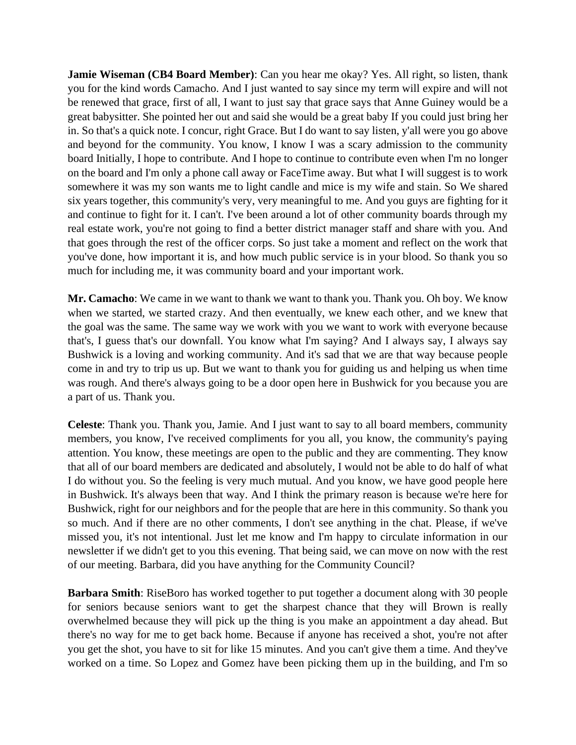**Jamie Wiseman (CB4 Board Member)**: Can you hear me okay? Yes. All right, so listen, thank you for the kind words Camacho. And I just wanted to say since my term will expire and will not be renewed that grace, first of all, I want to just say that grace says that Anne Guiney would be a great babysitter. She pointed her out and said she would be a great baby If you could just bring her in. So that's a quick note. I concur, right Grace. But I do want to say listen, y'all were you go above and beyond for the community. You know, I know I was a scary admission to the community board Initially, I hope to contribute. And I hope to continue to contribute even when I'm no longer on the board and I'm only a phone call away or FaceTime away. But what I will suggest is to work somewhere it was my son wants me to light candle and mice is my wife and stain. So We shared six years together, this community's very, very meaningful to me. And you guys are fighting for it and continue to fight for it. I can't. I've been around a lot of other community boards through my real estate work, you're not going to find a better district manager staff and share with you. And that goes through the rest of the officer corps. So just take a moment and reflect on the work that you've done, how important it is, and how much public service is in your blood. So thank you so much for including me, it was community board and your important work.

**Mr. Camacho**: We came in we want to thank we want to thank you. Thank you. Oh boy. We know when we started, we started crazy. And then eventually, we knew each other, and we knew that the goal was the same. The same way we work with you we want to work with everyone because that's, I guess that's our downfall. You know what I'm saying? And I always say, I always say Bushwick is a loving and working community. And it's sad that we are that way because people come in and try to trip us up. But we want to thank you for guiding us and helping us when time was rough. And there's always going to be a door open here in Bushwick for you because you are a part of us. Thank you.

**Celeste**: Thank you. Thank you, Jamie. And I just want to say to all board members, community members, you know, I've received compliments for you all, you know, the community's paying attention. You know, these meetings are open to the public and they are commenting. They know that all of our board members are dedicated and absolutely, I would not be able to do half of what I do without you. So the feeling is very much mutual. And you know, we have good people here in Bushwick. It's always been that way. And I think the primary reason is because we're here for Bushwick, right for our neighbors and for the people that are here in this community. So thank you so much. And if there are no other comments, I don't see anything in the chat. Please, if we've missed you, it's not intentional. Just let me know and I'm happy to circulate information in our newsletter if we didn't get to you this evening. That being said, we can move on now with the rest of our meeting. Barbara, did you have anything for the Community Council?

**Barbara Smith**: RiseBoro has worked together to put together a document along with 30 people for seniors because seniors want to get the sharpest chance that they will Brown is really overwhelmed because they will pick up the thing is you make an appointment a day ahead. But there's no way for me to get back home. Because if anyone has received a shot, you're not after you get the shot, you have to sit for like 15 minutes. And you can't give them a time. And they've worked on a time. So Lopez and Gomez have been picking them up in the building, and I'm so